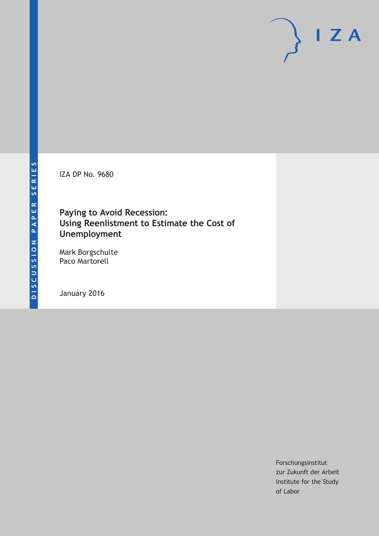IZA DP No. 9680

## **Paying to Avoid Recession: Using Reenlistment to Estimate the Cost of Unemployment**

Mark Borgschulte Paco Martorell

January 2016

Forschungsinstitut zur Zukunft der Arbeit Institute for the Study of Labor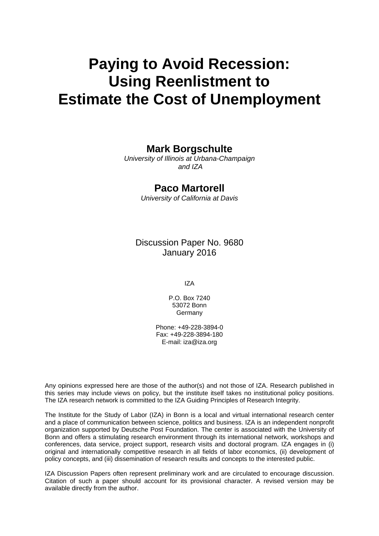# **Paying to Avoid Recession: Using Reenlistment to Estimate the Cost of Unemployment**

## **Mark Borgschulte**

*University of Illinois at Urbana-Champaign and IZA* 

## **Paco Martorell**

*University of California at Davis* 

Discussion Paper No. 9680 January 2016

IZA

P.O. Box 7240 53072 Bonn **Germany** 

Phone: +49-228-3894-0 Fax: +49-228-3894-180 E-mail: iza@iza.org

Any opinions expressed here are those of the author(s) and not those of IZA. Research published in this series may include views on policy, but the institute itself takes no institutional policy positions. The IZA research network is committed to the IZA Guiding Principles of Research Integrity.

The Institute for the Study of Labor (IZA) in Bonn is a local and virtual international research center and a place of communication between science, politics and business. IZA is an independent nonprofit organization supported by Deutsche Post Foundation. The center is associated with the University of Bonn and offers a stimulating research environment through its international network, workshops and conferences, data service, project support, research visits and doctoral program. IZA engages in (i) original and internationally competitive research in all fields of labor economics, (ii) development of policy concepts, and (iii) dissemination of research results and concepts to the interested public.

IZA Discussion Papers often represent preliminary work and are circulated to encourage discussion. Citation of such a paper should account for its provisional character. A revised version may be available directly from the author.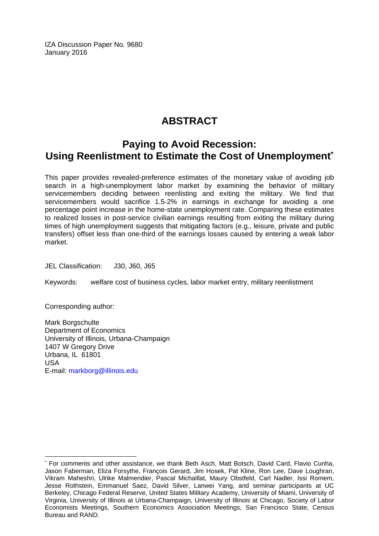IZA Discussion Paper No. 9680 January 2016

## **ABSTRACT**

## **Paying to Avoid Recession: Using Reenlistment to Estimate the Cost of Unemployment\***

This paper provides revealed-preference estimates of the monetary value of avoiding job search in a high-unemployment labor market by examining the behavior of military servicemembers deciding between reenlisting and exiting the military. We find that servicemembers would sacrifice 1.5-2% in earnings in exchange for avoiding a one percentage point increase in the home-state unemployment rate. Comparing these estimates to realized losses in post-service civilian earnings resulting from exiting the military during times of high unemployment suggests that mitigating factors (e.g., leisure, private and public transfers) offset less than one-third of the earnings losses caused by entering a weak labor market.

JEL Classification: J30, J60, J65

Keywords: welfare cost of business cycles, labor market entry, military reenlistment

Corresponding author:

 $\overline{a}$ 

Mark Borgschulte Department of Economics University of Illinois, Urbana-Champaign 1407 W Gregory Drive Urbana, IL 61801 USA E-mail: markborg@illinois.edu

<sup>\*</sup> For comments and other assistance, we thank Beth Asch, Matt Botsch, David Card, Flavio Cunha, Jason Faberman, Eliza Forsythe, François Gerard, Jim Hosek, Pat Kline, Ron Lee, Dave Loughran, Vikram Maheshri, Ulrike Malmendier, Pascal Michaillat, Maury Obstfeld, Carl Nadler, Issi Romem, Jesse Rothstein, Emmanuel Saez, David Silver, Lanwei Yang, and seminar participants at UC Berkeley, Chicago Federal Reserve, United States Military Academy, University of Miami, University of Virginia, University of Illinois at Urbana-Champaign, University of Illinois at Chicago, Society of Labor Economists Meetings, Southern Economics Association Meetings, San Francisco State, Census Bureau and RAND.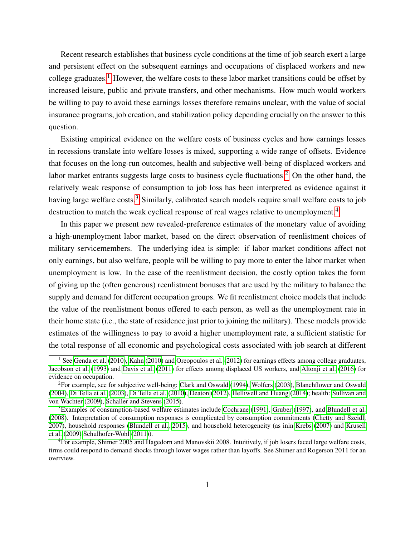Recent research establishes that business cycle conditions at the time of job search exert a large and persistent effect on the subsequent earnings and occupations of displaced workers and new college graduates.<sup>[1](#page-3-0)</sup> However, the welfare costs to these labor market transitions could be offset by increased leisure, public and private transfers, and other mechanisms. How much would workers be willing to pay to avoid these earnings losses therefore remains unclear, with the value of social insurance programs, job creation, and stabilization policy depending crucially on the answer to this question.

Existing empirical evidence on the welfare costs of business cycles and how earnings losses in recessions translate into welfare losses is mixed, supporting a wide range of offsets. Evidence that focuses on the long-run outcomes, health and subjective well-being of displaced workers and labor market entrants suggests large costs to business cycle fluctuations.<sup>[2](#page-3-1)</sup> On the other hand, the relatively weak response of consumption to job loss has been interpreted as evidence against it having large welfare costs.<sup>[3](#page-3-2)</sup> Similarly, calibrated search models require small welfare costs to job destruction to match the weak cyclical response of real wages relative to unemployment.<sup>[4](#page-3-3)</sup>

In this paper we present new revealed-preference estimates of the monetary value of avoiding a high-unemployment labor market, based on the direct observation of reenlistment choices of military servicemembers. The underlying idea is simple: if labor market conditions affect not only earnings, but also welfare, people will be willing to pay more to enter the labor market when unemployment is low. In the case of the reenlistment decision, the costly option takes the form of giving up the (often generous) reenlistment bonuses that are used by the military to balance the supply and demand for different occupation groups. We fit reenlistment choice models that include the value of the reenlistment bonus offered to each person, as well as the unemployment rate in their home state (i.e., the state of residence just prior to joining the military). These models provide estimates of the willingness to pay to avoid a higher unemployment rate, a sufficient statistic for the total response of all economic and psychological costs associated with job search at different

<span id="page-3-0"></span><sup>&</sup>lt;sup>1</sup> See [Genda et al.](#page-26-0) [\(2010\)](#page-26-1), [Kahn](#page-26-1) (2010) and [Oreopoulos et al.](#page-27-0) [\(2012\)](#page-27-0) for earnings effects among college graduates, [Jacobson et al.](#page-26-2) [\(1993\)](#page-26-2) and [Davis et al.](#page-25-0) [\(2011\)](#page-25-0) for effects among displaced US workers, and [Altonji et al.](#page-24-0) [\(2016\)](#page-24-0) for evidence on occupation.

<span id="page-3-1"></span><sup>2</sup>For example, see for subjective well-being: [Clark and Oswald](#page-25-1) [\(1994\)](#page-25-1), [Wolfers](#page-27-1) [\(2003\)](#page-27-1), [Blanchflower and Oswald](#page-25-2) [\(2004\)](#page-25-2), [Di Tella et al.](#page-25-3) [\(2003\)](#page-25-3), [Di Tella et al.](#page-25-4) [\(2010\)](#page-25-4), [Deaton](#page-25-5) [\(2012\)](#page-25-5), [Helliwell and Huang](#page-26-3) [\(2014\)](#page-26-3); health: [Sullivan and](#page-27-2) [von Wachter](#page-27-2) [\(2009\)](#page-27-2), [Schaller and Stevens](#page-27-3) [\(2015\)](#page-27-3).

<span id="page-3-2"></span> $3$ Examples of consumption-based welfare estimates include [Cochrane](#page-25-6) [\(1991\)](#page-25-6), [Gruber](#page-26-4) [\(1997\)](#page-26-4), and [Blundell et al.](#page-25-7) [\(2008\)](#page-25-7). Interpretation of consumption responses is complicated by consumption commitments [\(Chetty and Szeidl,](#page-25-8) [2007\)](#page-25-8), household responses [\(Blundell et al., 2015\)](#page-25-9), and household heterogeneity (as inin [Krebs](#page-26-5) [\(2007\)](#page-26-5) and [Krusell](#page-26-6) [et al.](#page-26-6) [\(2009\)](#page-26-6) [Schulhofer-Wohl](#page-27-4) [\(2011\)](#page-27-4)).

<span id="page-3-3"></span><sup>4</sup>For example, Shimer 2005 and Hagedorn and Manovskii 2008. Intuitively, if job losers faced large welfare costs, firms could respond to demand shocks through lower wages rather than layoffs. See Shimer and Rogerson 2011 for an overview.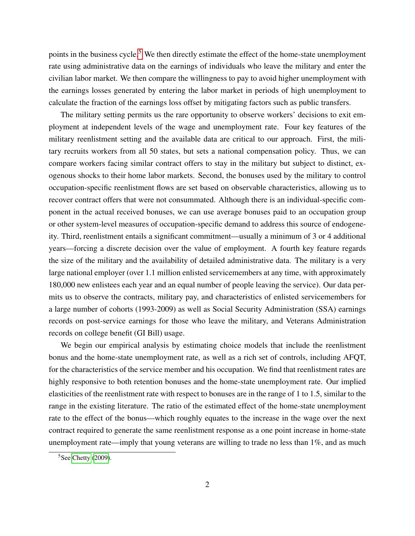points in the business cycle.<sup>[5](#page-4-0)</sup> We then directly estimate the effect of the home-state unemployment rate using administrative data on the earnings of individuals who leave the military and enter the civilian labor market. We then compare the willingness to pay to avoid higher unemployment with the earnings losses generated by entering the labor market in periods of high unemployment to calculate the fraction of the earnings loss offset by mitigating factors such as public transfers.

The military setting permits us the rare opportunity to observe workers' decisions to exit employment at independent levels of the wage and unemployment rate. Four key features of the military reenlistment setting and the available data are critical to our approach. First, the military recruits workers from all 50 states, but sets a national compensation policy. Thus, we can compare workers facing similar contract offers to stay in the military but subject to distinct, exogenous shocks to their home labor markets. Second, the bonuses used by the military to control occupation-specific reenlistment flows are set based on observable characteristics, allowing us to recover contract offers that were not consummated. Although there is an individual-specific component in the actual received bonuses, we can use average bonuses paid to an occupation group or other system-level measures of occupation-specific demand to address this source of endogeneity. Third, reenlistment entails a significant commitment—usually a minimum of 3 or 4 additional years—forcing a discrete decision over the value of employment. A fourth key feature regards the size of the military and the availability of detailed administrative data. The military is a very large national employer (over 1.1 million enlisted servicemembers at any time, with approximately 180,000 new enlistees each year and an equal number of people leaving the service). Our data permits us to observe the contracts, military pay, and characteristics of enlisted servicemembers for a large number of cohorts (1993-2009) as well as Social Security Administration (SSA) earnings records on post-service earnings for those who leave the military, and Veterans Administration records on college benefit (GI Bill) usage.

We begin our empirical analysis by estimating choice models that include the reenlistment bonus and the home-state unemployment rate, as well as a rich set of controls, including AFQT, for the characteristics of the service member and his occupation. We find that reenlistment rates are highly responsive to both retention bonuses and the home-state unemployment rate. Our implied elasticities of the reenlistment rate with respect to bonuses are in the range of 1 to 1.5, similar to the range in the existing literature. The ratio of the estimated effect of the home-state unemployment rate to the effect of the bonus—which roughly equates to the increase in the wage over the next contract required to generate the same reenlistment response as a one point increase in home-state unemployment rate—imply that young veterans are willing to trade no less than 1%, and as much

<span id="page-4-0"></span> $5$ See [Chetty](#page-25-10) [\(2009\)](#page-25-10).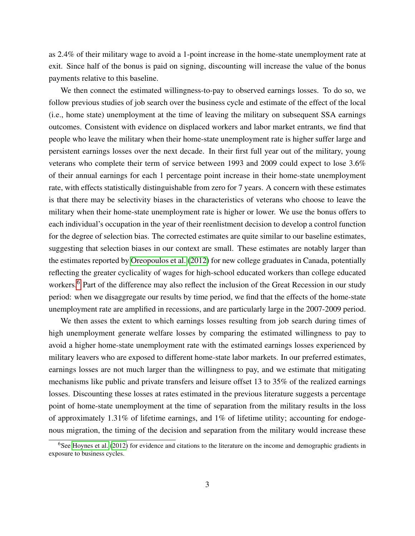as 2.4% of their military wage to avoid a 1-point increase in the home-state unemployment rate at exit. Since half of the bonus is paid on signing, discounting will increase the value of the bonus payments relative to this baseline.

We then connect the estimated willingness-to-pay to observed earnings losses. To do so, we follow previous studies of job search over the business cycle and estimate of the effect of the local (i.e., home state) unemployment at the time of leaving the military on subsequent SSA earnings outcomes. Consistent with evidence on displaced workers and labor market entrants, we find that people who leave the military when their home-state unemployment rate is higher suffer large and persistent earnings losses over the next decade. In their first full year out of the military, young veterans who complete their term of service between 1993 and 2009 could expect to lose 3.6% of their annual earnings for each 1 percentage point increase in their home-state unemployment rate, with effects statistically distinguishable from zero for 7 years. A concern with these estimates is that there may be selectivity biases in the characteristics of veterans who choose to leave the military when their home-state unemployment rate is higher or lower. We use the bonus offers to each individual's occupation in the year of their reenlistment decision to develop a control function for the degree of selection bias. The corrected estimates are quite similar to our baseline estimates, suggesting that selection biases in our context are small. These estimates are notably larger than the estimates reported by [Oreopoulos et al.](#page-27-0) [\(2012\)](#page-27-0) for new college graduates in Canada, potentially reflecting the greater cyclicality of wages for high-school educated workers than college educated workers.<sup>[6](#page-5-0)</sup> Part of the difference may also reflect the inclusion of the Great Recession in our study period: when we disaggregate our results by time period, we find that the effects of the home-state unemployment rate are amplified in recessions, and are particularly large in the 2007-2009 period.

We then asses the extent to which earnings losses resulting from job search during times of high unemployment generate welfare losses by comparing the estimated willingness to pay to avoid a higher home-state unemployment rate with the estimated earnings losses experienced by military leavers who are exposed to different home-state labor markets. In our preferred estimates, earnings losses are not much larger than the willingness to pay, and we estimate that mitigating mechanisms like public and private transfers and leisure offset 13 to 35% of the realized earnings losses. Discounting these losses at rates estimated in the previous literature suggests a percentage point of home-state unemployment at the time of separation from the military results in the loss of approximately 1.31% of lifetime earnings, and 1% of lifetime utility; accounting for endogenous migration, the timing of the decision and separation from the military would increase these

<span id="page-5-0"></span> $6$ See [Hoynes et al.](#page-26-7) [\(2012\)](#page-26-7) for evidence and citations to the literature on the income and demographic gradients in exposure to business cycles.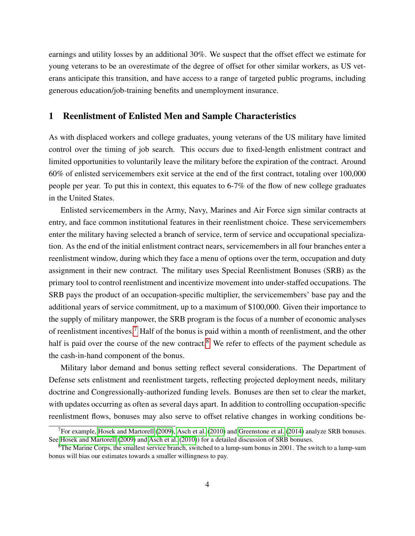earnings and utility losses by an additional 30%. We suspect that the offset effect we estimate for young veterans to be an overestimate of the degree of offset for other similar workers, as US veterans anticipate this transition, and have access to a range of targeted public programs, including generous education/job-training benefits and unemployment insurance.

## 1 Reenlistment of Enlisted Men and Sample Characteristics

As with displaced workers and college graduates, young veterans of the US military have limited control over the timing of job search. This occurs due to fixed-length enlistment contract and limited opportunities to voluntarily leave the military before the expiration of the contract. Around 60% of enlisted servicemembers exit service at the end of the first contract, totaling over 100,000 people per year. To put this in context, this equates to 6-7% of the flow of new college graduates in the United States.

Enlisted servicemembers in the Army, Navy, Marines and Air Force sign similar contracts at entry, and face common institutional features in their reenlistment choice. These servicemembers enter the military having selected a branch of service, term of service and occupational specialization. As the end of the initial enlistment contract nears, servicemembers in all four branches enter a reenlistment window, during which they face a menu of options over the term, occupation and duty assignment in their new contract. The military uses Special Reenlistment Bonuses (SRB) as the primary tool to control reenlistment and incentivize movement into under-staffed occupations. The SRB pays the product of an occupation-specific multiplier, the servicemembers' base pay and the additional years of service commitment, up to a maximum of \$100,000. Given their importance to the supply of military manpower, the SRB program is the focus of a number of economic analyses of reenlistment incentives.<sup>[7](#page-6-0)</sup> Half of the bonus is paid within a month of reenlistment, and the other half is paid over the course of the new contract.<sup>[8](#page-6-1)</sup> We refer to effects of the payment schedule as the cash-in-hand component of the bonus.

Military labor demand and bonus setting reflect several considerations. The Department of Defense sets enlistment and reenlistment targets, reflecting projected deployment needs, military doctrine and Congressionally-authorized funding levels. Bonuses are then set to clear the market, with updates occurring as often as several days apart. In addition to controlling occupation-specific reenlistment flows, bonuses may also serve to offset relative changes in working conditions be-

<span id="page-6-0"></span><sup>7</sup>For example, [Hosek and Martorell](#page-26-8) [\(2009\)](#page-26-8), [Asch et al.](#page-24-1) [\(2010\)](#page-24-1) and [Greenstone et al.](#page-26-9) [\(2014\)](#page-26-9) analyze SRB bonuses. See [Hosek and Martorell](#page-26-8) [\(2009\)](#page-26-8) and [Asch et al.](#page-24-1) [\(2010\)](#page-24-1)) for a detailed discussion of SRB bonuses.

<span id="page-6-1"></span><sup>8</sup>The Marine Corps, the smallest service branch, switched to a lump-sum bonus in 2001. The switch to a lump-sum bonus will bias our estimates towards a smaller willingness to pay.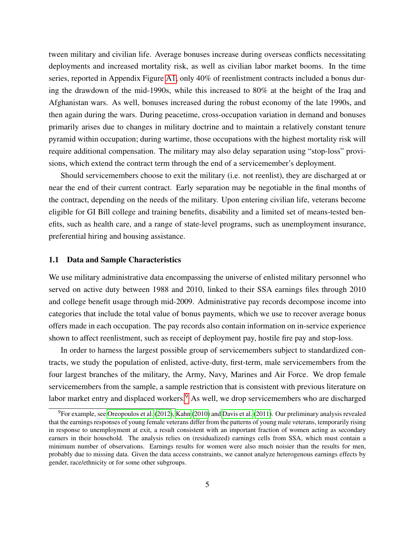tween military and civilian life. Average bonuses increase during overseas conflicts necessitating deployments and increased mortality risk, as well as civilian labor market booms. In the time series, reported in Appendix Figure [A1,](#page-34-0) only 40% of reenlistment contracts included a bonus during the drawdown of the mid-1990s, while this increased to 80% at the height of the Iraq and Afghanistan wars. As well, bonuses increased during the robust economy of the late 1990s, and then again during the wars. During peacetime, cross-occupation variation in demand and bonuses primarily arises due to changes in military doctrine and to maintain a relatively constant tenure pyramid within occupation; during wartime, those occupations with the highest mortality risk will require additional compensation. The military may also delay separation using "stop-loss" provisions, which extend the contract term through the end of a servicemember's deployment.

Should servicemembers choose to exit the military (i.e. not reenlist), they are discharged at or near the end of their current contract. Early separation may be negotiable in the final months of the contract, depending on the needs of the military. Upon entering civilian life, veterans become eligible for GI Bill college and training benefits, disability and a limited set of means-tested benefits, such as health care, and a range of state-level programs, such as unemployment insurance, preferential hiring and housing assistance.

#### 1.1 Data and Sample Characteristics

We use military administrative data encompassing the universe of enlisted military personnel who served on active duty between 1988 and 2010, linked to their SSA earnings files through 2010 and college benefit usage through mid-2009. Administrative pay records decompose income into categories that include the total value of bonus payments, which we use to recover average bonus offers made in each occupation. The pay records also contain information on in-service experience shown to affect reenlistment, such as receipt of deployment pay, hostile fire pay and stop-loss.

In order to harness the largest possible group of servicemembers subject to standardized contracts, we study the population of enlisted, active-duty, first-term, male servicemembers from the four largest branches of the military, the Army, Navy, Marines and Air Force. We drop female servicemembers from the sample, a sample restriction that is consistent with previous literature on labor market entry and displaced workers.<sup>[9](#page-7-0)</sup> As well, we drop servicemembers who are discharged

<span id="page-7-0"></span> $^{9}$ For example, see [Oreopoulos et al.](#page-27-0) [\(2012\)](#page-27-0), [Kahn](#page-26-1) [\(2010\)](#page-26-1) and [Davis et al.](#page-25-0) [\(2011\)](#page-25-0). Our preliminary analysis revealed that the earnings responses of young female veterans differ from the patterns of young male veterans, temporarily rising in response to unemployment at exit, a result consistent with an important fraction of women acting as secondary earners in their household. The analysis relies on (residualized) earnings cells from SSA, which must contain a minimum number of observations. Earnings results for women were also much noisier than the results for men, probably due to missing data. Given the data access constraints, we cannot analyze heterogenous earnings effects by gender, race/ethnicity or for some other subgroups.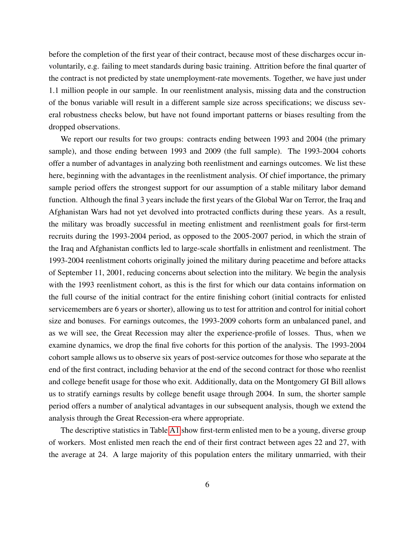before the completion of the first year of their contract, because most of these discharges occur involuntarily, e.g. failing to meet standards during basic training. Attrition before the final quarter of the contract is not predicted by state unemployment-rate movements. Together, we have just under 1.1 million people in our sample. In our reenlistment analysis, missing data and the construction of the bonus variable will result in a different sample size across specifications; we discuss several robustness checks below, but have not found important patterns or biases resulting from the dropped observations.

We report our results for two groups: contracts ending between 1993 and 2004 (the primary sample), and those ending between 1993 and 2009 (the full sample). The 1993-2004 cohorts offer a number of advantages in analyzing both reenlistment and earnings outcomes. We list these here, beginning with the advantages in the reenlistment analysis. Of chief importance, the primary sample period offers the strongest support for our assumption of a stable military labor demand function. Although the final 3 years include the first years of the Global War on Terror, the Iraq and Afghanistan Wars had not yet devolved into protracted conflicts during these years. As a result, the military was broadly successful in meeting enlistment and reenlistment goals for first-term recruits during the 1993-2004 period, as opposed to the 2005-2007 period, in which the strain of the Iraq and Afghanistan conflicts led to large-scale shortfalls in enlistment and reenlistment. The 1993-2004 reenlistment cohorts originally joined the military during peacetime and before attacks of September 11, 2001, reducing concerns about selection into the military. We begin the analysis with the 1993 reenlistment cohort, as this is the first for which our data contains information on the full course of the initial contract for the entire finishing cohort (initial contracts for enlisted servicemembers are 6 years or shorter), allowing us to test for attrition and control for initial cohort size and bonuses. For earnings outcomes, the 1993-2009 cohorts form an unbalanced panel, and as we will see, the Great Recession may alter the experience-profile of losses. Thus, when we examine dynamics, we drop the final five cohorts for this portion of the analysis. The 1993-2004 cohort sample allows us to observe six years of post-service outcomes for those who separate at the end of the first contract, including behavior at the end of the second contract for those who reenlist and college benefit usage for those who exit. Additionally, data on the Montgomery GI Bill allows us to stratify earnings results by college benefit usage through 2004. In sum, the shorter sample period offers a number of analytical advantages in our subsequent analysis, though we extend the analysis through the Great Recession-era where appropriate.

The descriptive statistics in Table [A1](#page-28-0) show first-term enlisted men to be a young, diverse group of workers. Most enlisted men reach the end of their first contract between ages 22 and 27, with the average at 24. A large majority of this population enters the military unmarried, with their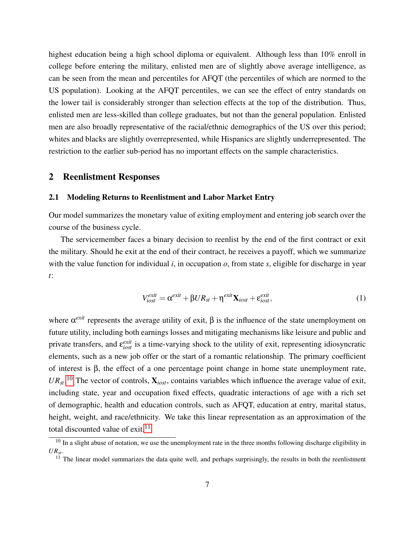highest education being a high school diploma or equivalent. Although less than 10% enroll in college before entering the military, enlisted men are of slightly above average intelligence, as can be seen from the mean and percentiles for AFQT (the percentiles of which are normed to the US population). Looking at the AFQT percentiles, we can see the effect of entry standards on the lower tail is considerably stronger than selection effects at the top of the distribution. Thus, enlisted men are less-skilled than college graduates, but not than the general population. Enlisted men are also broadly representative of the racial/ethnic demographics of the US over this period; whites and blacks are slightly overrepresented, while Hispanics are slightly underrepresented. The restriction to the earlier sub-period has no important effects on the sample characteristics.

### <span id="page-9-2"></span>2 Reenlistment Responses

### 2.1 Modeling Returns to Reenlistment and Labor Market Entry

Our model summarizes the monetary value of exiting employment and entering job search over the course of the business cycle.

The servicemember faces a binary decision to reenlist by the end of the first contract or exit the military. Should he exit at the end of their contract, he receives a payoff, which we summarize with the value function for individual *i*, in occupation *o*, from state *s*, eligible for discharge in year *t*:

$$
V_{iost}^{exit} = \alpha^{exit} + \beta U R_{st} + \eta^{exit} \mathbf{X}_{iost} + \varepsilon_{iost}^{exit},
$$
\n(1)

where  $\alpha^{exit}$  represents the average utility of exit,  $\beta$  is the influence of the state unemployment on future utility, including both earnings losses and mitigating mechanisms like leisure and public and private transfers, and  $\epsilon_{iost}^{exit}$  is a time-varying shock to the utility of exit, representing idiosyncratic elements, such as a new job offer or the start of a romantic relationship. The primary coefficient of interest is β, the effect of a one percentage point change in home state unemployment rate,  $UR_{st}$ <sup>[10](#page-9-0)</sup> The vector of controls,  $\mathbf{X}_{iost}$ , contains variables which influence the average value of exit, including state, year and occupation fixed effects, quadratic interactions of age with a rich set of demographic, health and education controls, such as AFQT, education at entry, marital status, height, weight, and race/ethnicity. We take this linear representation as an approximation of the total discounted value of exit. $^{11}$  $^{11}$  $^{11}$ 

<span id="page-9-0"></span><sup>&</sup>lt;sup>10</sup> In a slight abuse of notation, we use the unemployment rate in the three months following discharge eligibility in *URst*.

<span id="page-9-1"></span><sup>&</sup>lt;sup>11</sup> The linear model summarizes the data quite well, and perhaps surprisingly, the results in both the reenlistment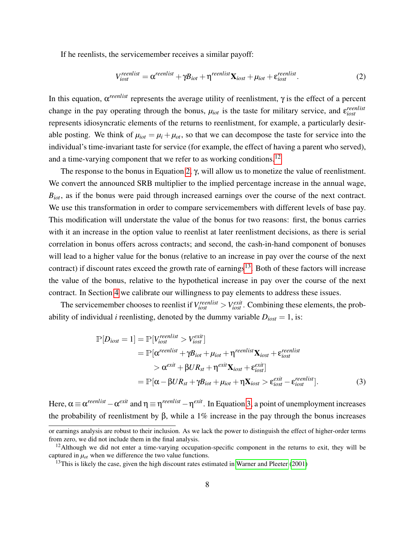If he reenlists, the servicemember receives a similar payoff:

<span id="page-10-1"></span>
$$
V_{iost}^{reenlist} = \alpha^{reenlist} + \gamma B_{iot} + \eta^{reenlist} X_{iost} + \mu_{iot} + \varepsilon_{iost}^{reenlist}.
$$
 (2)

In this equation,  $\alpha^{reenlist}$  represents the average utility of reenlistment,  $\gamma$  is the effect of a percent change in the pay operating through the bonus,  $\mu_{iot}$  is the taste for military service, and  $\varepsilon_{iost}^{reenlist}$ represents idiosyncratic elements of the returns to reenlistment, for example, a particularly desirable posting. We think of  $\mu_{i\alpha t} = \mu_i + \mu_{i\alpha t}$ , so that we can decompose the taste for service into the individual's time-invariant taste for service (for example, the effect of having a parent who served), and a time-varying component that we refer to as working conditions.<sup>[12](#page-10-0)</sup>

The response to the bonus in Equation [2,](#page-10-1) γ, will allow us to monetize the value of reenlistment. We convert the announced SRB multiplier to the implied percentage increase in the annual wage, *B*<sub>*iot*</sub>, as if the bonus were paid through increased earnings over the course of the next contract. We use this transformation in order to compare servicemembers with different levels of base pay. This modification will understate the value of the bonus for two reasons: first, the bonus carries with it an increase in the option value to reenlist at later reenlistment decisions, as there is serial correlation in bonus offers across contracts; and second, the cash-in-hand component of bonuses will lead to a higher value for the bonus (relative to an increase in pay over the course of the next contract) if discount rates exceed the growth rate of earnings<sup>[13](#page-10-2)</sup>. Both of these factors will increase the value of the bonus, relative to the hypothetical increase in pay over the course of the next contract. In Section [4](#page-20-0) we calibrate our willingness to pay elements to address these issues.

The servicemember chooses to reenlist if  $V_{iost}^{reenlist} > V_{iost}^{exit}$ . Combining these elements, the probability of individual *i* reenlisting, denoted by the dummy variable  $D_{iost} = 1$ , is:

<span id="page-10-3"></span>
$$
\mathbb{P}[D_{iost} = 1] = \mathbb{P}[V_{iost}^{reenlist} > V_{iost}^{exit}]
$$
\n
$$
= \mathbb{P}[\alpha^{reenlist} + \gamma B_{iot} + \mu_{iot} + \eta^{reenlist} \mathbf{X}_{iost} + \varepsilon_{iost}^{reenlist}
$$
\n
$$
> \alpha^{exit} + \beta U R_{st} + \eta^{exit} \mathbf{X}_{iost} + \varepsilon_{iost}^{exit}]
$$
\n
$$
= \mathbb{P}[\alpha - \beta U R_{st} + \gamma B_{iot} + \mu_{iot} + \eta \mathbf{X}_{iost} > \varepsilon_{iost}^{exit} - \varepsilon_{iost}^{reenlist}].
$$
\n(3)

Here,  $\alpha \equiv \alpha^{reenlist} - \alpha^{exit}$  and  $\eta \equiv \eta^{reenlist} - \eta^{exit}$ . In Equation [3,](#page-10-3) a point of unemployment increases the probability of reenlistment by  $\beta$ , while a 1% increase in the pay through the bonus increases

or earnings analysis are robust to their inclusion. As we lack the power to distinguish the effect of higher-order terms from zero, we did not include them in the final analysis.

<span id="page-10-0"></span> $12$ Although we did not enter a time-varying occupation-specific component in the returns to exit, they will be captured in  $\mu_{ot}$  when we difference the two value functions.

<span id="page-10-2"></span> $13$ This is likely the case, given the high discount rates estimated in [Warner and Pleeter](#page-27-5) [\(2001\)](#page-27-5)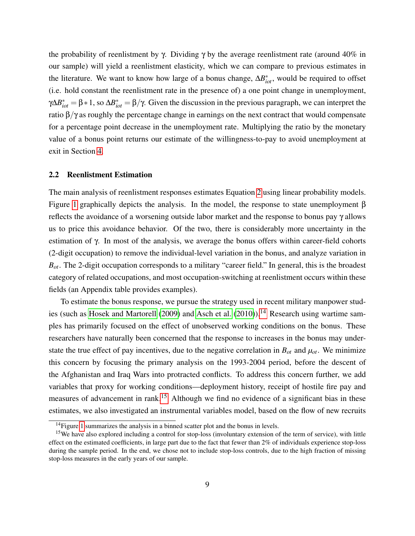the probability of reenlistment by  $\gamma$ . Dividing  $\gamma$  by the average reenlistment rate (around 40% in our sample) will yield a reenlistment elasticity, which we can compare to previous estimates in the literature. We want to know how large of a bonus change,  $\Delta B_{iot}^*$ , would be required to offset (i.e. hold constant the reenlistment rate in the presence of) a one point change in unemployment,  $γΔB<sub>tot</sub><sup>*</sup> = β * 1$ , so  $ΔB<sub>tot</sub><sup>*</sup> = β/γ$ . Given the discussion in the previous paragraph, we can interpret the ratio  $β/γ$  as roughly the percentage change in earnings on the next contract that would compensate for a percentage point decrease in the unemployment rate. Multiplying the ratio by the monetary value of a bonus point returns our estimate of the willingness-to-pay to avoid unemployment at exit in Section [4.](#page-20-0)

#### 2.2 Reenlistment Estimation

The main analysis of reenlistment responses estimates Equation [2](#page-10-1) using linear probability models. Figure [1](#page-34-0) graphically depicts the analysis. In the model, the response to state unemployment β reflects the avoidance of a worsening outside labor market and the response to bonus pay γ allows us to price this avoidance behavior. Of the two, there is considerably more uncertainty in the estimation of  $\gamma$ . In most of the analysis, we average the bonus offers within career-field cohorts (2-digit occupation) to remove the individual-level variation in the bonus, and analyze variation in  $B_{\text{ot}}$ . The 2-digit occupation corresponds to a military "career field." In general, this is the broadest category of related occupations, and most occupation-switching at reenlistment occurs within these fields (an Appendix table provides examples).

To estimate the bonus response, we pursue the strategy used in recent military manpower stud-ies (such as [Hosek and Martorell](#page-26-8) [\(2009\)](#page-26-8) and [Asch et al.](#page-24-1) [\(2010\)](#page-24-1)).<sup>[14](#page-11-0)</sup> Research using wartime samples has primarily focused on the effect of unobserved working conditions on the bonus. These researchers have naturally been concerned that the response to increases in the bonus may understate the true effect of pay incentives, due to the negative correlation in  $B_{ot}$  and  $\mu_{ot}$ . We minimize this concern by focusing the primary analysis on the 1993-2004 period, before the descent of the Afghanistan and Iraq Wars into protracted conflicts. To address this concern further, we add variables that proxy for working conditions—deployment history, receipt of hostile fire pay and measures of advancement in rank.<sup>[15](#page-11-1)</sup> Although we find no evidence of a significant bias in these estimates, we also investigated an instrumental variables model, based on the flow of new recruits

<span id="page-11-1"></span><span id="page-11-0"></span><sup>&</sup>lt;sup>14</sup> Figure [1](#page-34-0) summarizes the analysis in a binned scatter plot and the bonus in levels.

<sup>&</sup>lt;sup>15</sup>We have also explored including a control for stop-loss (involuntary extension of the term of service), with little effect on the estimated coefficients, in large part due to the fact that fewer than 2% of individuals experience stop-loss during the sample period. In the end, we chose not to include stop-loss controls, due to the high fraction of missing stop-loss measures in the early years of our sample.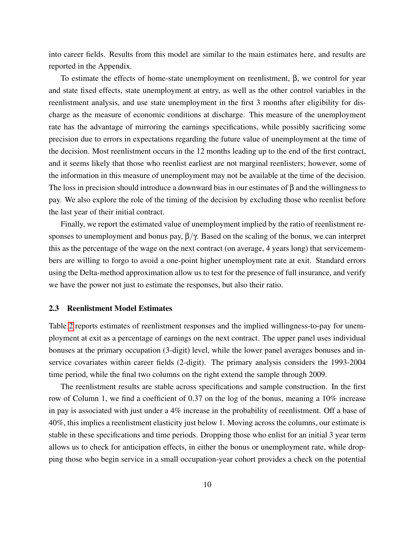into career fields. Results from this model are similar to the main estimates here, and results are reported in the Appendix.

To estimate the effects of home-state unemployment on reenlistment, β, we control for year and state fixed effects, state unemployment at entry, as well as the other control variables in the reenlistment analysis, and use state unemployment in the first 3 months after eligibility for discharge as the measure of economic conditions at discharge. This measure of the unemployment rate has the advantage of mirroring the earnings specifications, while possibly sacrificing some precision due to errors in expectations regarding the future value of unemployment at the time of the decision. Most reenlistment occurs in the 12 months leading up to the end of the first contract, and it seems likely that those who reenlist earliest are not marginal reenlisters; however, some of the information in this measure of unemployment may not be available at the time of the decision. The loss in precision should introduce a downward bias in our estimates of  $\beta$  and the willingness to pay. We also explore the role of the timing of the decision by excluding those who reenlist before the last year of their initial contract.

Finally, we report the estimated value of unemployment implied by the ratio of reenlistment responses to unemployment and bonus pay,  $\beta/\gamma$ . Based on the scaling of the bonus, we can interpret this as the percentage of the wage on the next contract (on average, 4 years long) that servicemembers are willing to forgo to avoid a one-point higher unemployment rate at exit. Standard errors using the Delta-method approximation allow us to test for the presence of full insurance, and verify we have the power not just to estimate the responses, but also their ratio.

#### 2.3 Reenlistment Model Estimates

Table [2](#page-29-0) reports estimates of reenlistment responses and the implied willingness-to-pay for unemployment at exit as a percentage of earnings on the next contract. The upper panel uses individual bonuses at the primary occupation (3-digit) level, while the lower panel averages bonuses and inservice covariates within career fields (2-digit). The primary analysis considers the 1993-2004 time period, while the final two columns on the right extend the sample through 2009.

The reenlistment results are stable across specifications and sample construction. In the first row of Column 1, we find a coefficient of 0.37 on the log of the bonus, meaning a 10% increase in pay is associated with just under a 4% increase in the probability of reenlistment. Off a base of 40%, this implies a reenlistment elasticity just below 1. Moving across the columns, our estimate is stable in these specifications and time periods. Dropping those who enlist for an initial 3 year term allows us to check for anticipation effects, in either the bonus or unemployment rate, while dropping those who begin service in a small occupation-year cohort provides a check on the potential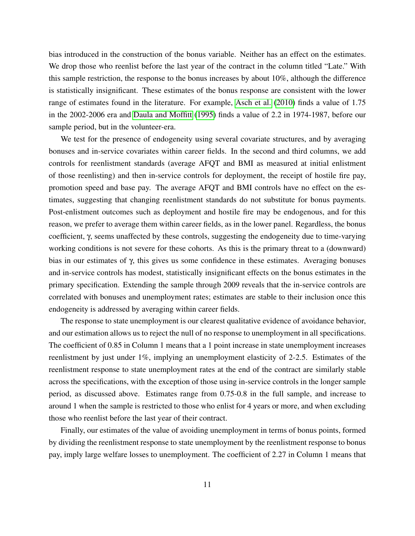bias introduced in the construction of the bonus variable. Neither has an effect on the estimates. We drop those who reenlist before the last year of the contract in the column titled "Late." With this sample restriction, the response to the bonus increases by about 10%, although the difference is statistically insignificant. These estimates of the bonus response are consistent with the lower range of estimates found in the literature. For example, [Asch et al.](#page-24-1) [\(2010\)](#page-24-1) finds a value of 1.75 in the 2002-2006 era and [Daula and Moffitt](#page-25-11) [\(1995\)](#page-25-11) finds a value of 2.2 in 1974-1987, before our sample period, but in the volunteer-era.

We test for the presence of endogeneity using several covariate structures, and by averaging bonuses and in-service covariates within career fields. In the second and third columns, we add controls for reenlistment standards (average AFQT and BMI as measured at initial enlistment of those reenlisting) and then in-service controls for deployment, the receipt of hostile fire pay, promotion speed and base pay. The average AFQT and BMI controls have no effect on the estimates, suggesting that changing reenlistment standards do not substitute for bonus payments. Post-enlistment outcomes such as deployment and hostile fire may be endogenous, and for this reason, we prefer to average them within career fields, as in the lower panel. Regardless, the bonus coefficient, γ, seems unaffected by these controls, suggesting the endogeneity due to time-varying working conditions is not severe for these cohorts. As this is the primary threat to a (downward) bias in our estimates of  $\gamma$ , this gives us some confidence in these estimates. Averaging bonuses and in-service controls has modest, statistically insignificant effects on the bonus estimates in the primary specification. Extending the sample through 2009 reveals that the in-service controls are correlated with bonuses and unemployment rates; estimates are stable to their inclusion once this endogeneity is addressed by averaging within career fields.

The response to state unemployment is our clearest qualitative evidence of avoidance behavior, and our estimation allows us to reject the null of no response to unemployment in all specifications. The coefficient of 0.85 in Column 1 means that a 1 point increase in state unemployment increases reenlistment by just under 1%, implying an unemployment elasticity of 2-2.5. Estimates of the reenlistment response to state unemployment rates at the end of the contract are similarly stable across the specifications, with the exception of those using in-service controls in the longer sample period, as discussed above. Estimates range from 0.75-0.8 in the full sample, and increase to around 1 when the sample is restricted to those who enlist for 4 years or more, and when excluding those who reenlist before the last year of their contract.

Finally, our estimates of the value of avoiding unemployment in terms of bonus points, formed by dividing the reenlistment response to state unemployment by the reenlistment response to bonus pay, imply large welfare losses to unemployment. The coefficient of 2.27 in Column 1 means that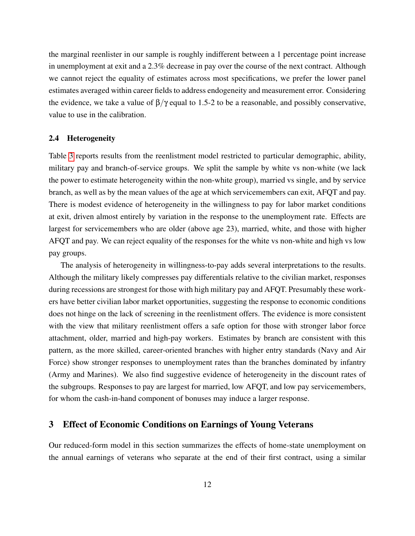the marginal reenlister in our sample is roughly indifferent between a 1 percentage point increase in unemployment at exit and a 2.3% decrease in pay over the course of the next contract. Although we cannot reject the equality of estimates across most specifications, we prefer the lower panel estimates averaged within career fields to address endogeneity and measurement error. Considering the evidence, we take a value of  $\beta/\gamma$  equal to 1.5-2 to be a reasonable, and possibly conservative, value to use in the calibration.

### 2.4 Heterogeneity

Table [3](#page-30-0) reports results from the reenlistment model restricted to particular demographic, ability, military pay and branch-of-service groups. We split the sample by white vs non-white (we lack the power to estimate heterogeneity within the non-white group), married vs single, and by service branch, as well as by the mean values of the age at which servicemembers can exit, AFQT and pay. There is modest evidence of heterogeneity in the willingness to pay for labor market conditions at exit, driven almost entirely by variation in the response to the unemployment rate. Effects are largest for servicemembers who are older (above age 23), married, white, and those with higher AFQT and pay. We can reject equality of the responses for the white vs non-white and high vs low pay groups.

The analysis of heterogeneity in willingness-to-pay adds several interpretations to the results. Although the military likely compresses pay differentials relative to the civilian market, responses during recessions are strongest for those with high military pay and AFQT. Presumably these workers have better civilian labor market opportunities, suggesting the response to economic conditions does not hinge on the lack of screening in the reenlistment offers. The evidence is more consistent with the view that military reenlistment offers a safe option for those with stronger labor force attachment, older, married and high-pay workers. Estimates by branch are consistent with this pattern, as the more skilled, career-oriented branches with higher entry standards (Navy and Air Force) show stronger responses to unemployment rates than the branches dominated by infantry (Army and Marines). We also find suggestive evidence of heterogeneity in the discount rates of the subgroups. Responses to pay are largest for married, low AFQT, and low pay servicemembers, for whom the cash-in-hand component of bonuses may induce a larger response.

## <span id="page-14-0"></span>3 Effect of Economic Conditions on Earnings of Young Veterans

Our reduced-form model in this section summarizes the effects of home-state unemployment on the annual earnings of veterans who separate at the end of their first contract, using a similar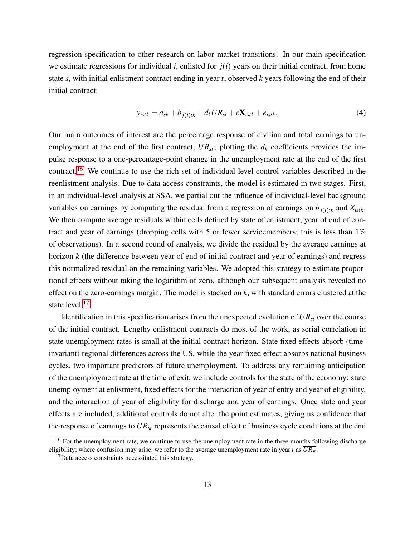regression specification to other research on labor market transitions. In our main specification we estimate regressions for individual *i*, enlisted for  $j(i)$  years on their initial contract, from home state *s*, with initial enlistment contract ending in year *t*, observed *k* years following the end of their initial contract:

$$
y_{istk} = a_{sk} + b_{j(i)tk} + d_k U R_{st} + c \mathbf{X}_{istk} + e_{istk}.
$$
\n(4)

Our main outcomes of interest are the percentage response of civilian and total earnings to unemployment at the end of the first contract,  $UR_{st}$ ; plotting the  $d_k$  coefficients provides the impulse response to a one-percentage-point change in the unemployment rate at the end of the first contract.[16](#page-15-0) We continue to use the rich set of individual-level control variables described in the reenlistment analysis. Due to data access constraints, the model is estimated in two stages. First, in an individual-level analysis at SSA, we partial out the influence of individual-level background variables on earnings by computing the residual from a regression of earnings on  $b_{i(i)tk}$  and  $X_{istk}$ . We then compute average residuals within cells defined by state of enlistment, year of end of contract and year of earnings (dropping cells with 5 or fewer servicemembers; this is less than 1% of observations). In a second round of analysis, we divide the residual by the average earnings at horizon *k* (the difference between year of end of initial contract and year of earnings) and regress this normalized residual on the remaining variables. We adopted this strategy to estimate proportional effects without taking the logarithm of zero, although our subsequent analysis revealed no effect on the zero-earnings margin. The model is stacked on *k*, with standard errors clustered at the state level.<sup>[17](#page-15-1)</sup>

Identification in this specification arises from the unexpected evolution of  $UR_{st}$  over the course of the initial contract. Lengthy enlistment contracts do most of the work, as serial correlation in state unemployment rates is small at the initial contract horizon. State fixed effects absorb (timeinvariant) regional differences across the US, while the year fixed effect absorbs national business cycles, two important predictors of future unemployment. To address any remaining anticipation of the unemployment rate at the time of exit, we include controls for the state of the economy: state unemployment at enlistment, fixed effects for the interaction of year of entry and year of eligibility, and the interaction of year of eligibility for discharge and year of earnings. Once state and year effects are included, additional controls do not alter the point estimates, giving us confidence that the response of earnings to *URst* represents the causal effect of business cycle conditions at the end

<span id="page-15-0"></span><sup>&</sup>lt;sup>16</sup> For the unemployment rate, we continue to use the unemployment rate in the three months following discharge eligibility; where confusion may arise, we refer to the average unemployment rate in year *t* as  $\overline{UR_{st}}$ .

<span id="page-15-1"></span> $17$ Data access constraints necessitated this strategy.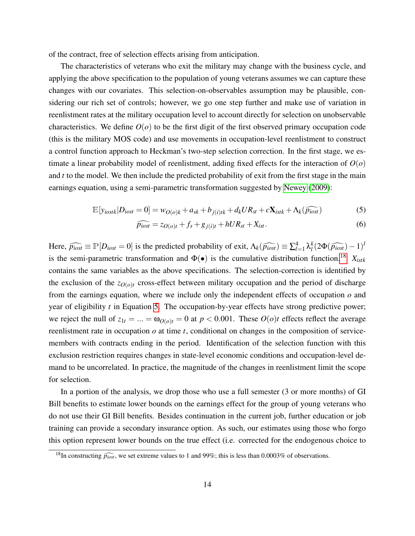of the contract, free of selection effects arising from anticipation.

The characteristics of veterans who exit the military may change with the business cycle, and applying the above specification to the population of young veterans assumes we can capture these changes with our covariates. This selection-on-observables assumption may be plausible, considering our rich set of controls; however, we go one step further and make use of variation in reenlistment rates at the military occupation level to account directly for selection on unobservable characteristics. We define  $O(o)$  to be the first digit of the first observed primary occupation code (this is the military MOS code) and use movements in occupation-level reenlistment to construct a control function approach to Heckman's two-step selection correction. In the first stage, we estimate a linear probability model of reenlistment, adding fixed effects for the interaction of *O*(*o*) and *t* to the model. We then include the predicted probability of exit from the first stage in the main earnings equation, using a semi-parametric transformation suggested by [Newey](#page-27-6) [\(2009\)](#page-27-6):

$$
\mathbb{E}[y_{iostk}|D_{iost}=0]=w_{O(o)k}+a_{sk}+b_{j(i)tk}+d_kUR_{st}+c\mathbf{X}_{istk}+\Lambda_k(\widehat{p_{iost}})
$$
\n(5)

<span id="page-16-2"></span><span id="page-16-1"></span>
$$
\widehat{p_{iost}} = z_{O(o)t} + f_s + g_{j(i)t} + hUR_{st} + X_{ist}.
$$
\n
$$
(6)
$$

Here,  $\widehat{p}_{iost} \equiv \mathbb{P}[D_{iost} = 0]$  is the predicted probability of exit,  $\Lambda_k(\widehat{p}_{iost}) \equiv \sum_{l=1}^4 \lambda_l^k$  $\frac{k}{l} (2\Phi(\widehat{p}_{iost}) - 1)^l$ is the semi-parametric transformation and  $\Phi(\bullet)$  is the cumulative distribution function.<sup>[18](#page-16-0)</sup>  $X_{\text{istk}}$ contains the same variables as the above specifications. The selection-correction is identified by the exclusion of the  $z_{O(o)t}$  cross-effect between military occupation and the period of discharge from the earnings equation, where we include only the independent effects of occupation *o* and year of eligibility *t* in Equation [5.](#page-16-1) The occupation-by-year effects have strong predictive power; we reject the null of  $z_{1t} = ... = \omega_{O(o)t} = 0$  at  $p < 0.001$ . These  $O(o)t$  effects reflect the average reenlistment rate in occupation *o* at time *t*, conditional on changes in the composition of servicemembers with contracts ending in the period. Identification of the selection function with this exclusion restriction requires changes in state-level economic conditions and occupation-level demand to be uncorrelated. In practice, the magnitude of the changes in reenlistment limit the scope for selection.

In a portion of the analysis, we drop those who use a full semester (3 or more months) of GI Bill benefits to estimate lower bounds on the earnings effect for the group of young veterans who do not use their GI Bill benefits. Besides continuation in the current job, further education or job training can provide a secondary insurance option. As such, our estimates using those who forgo this option represent lower bounds on the true effect (i.e. corrected for the endogenous choice to

<span id="page-16-0"></span><sup>&</sup>lt;sup>18</sup>In constructing  $\widehat{p_{\text{lost}}}$ , we set extreme values to 1 and 99%; this is less than 0.0003% of observations.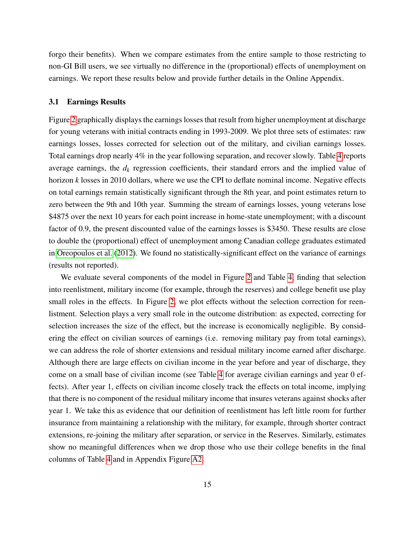forgo their benefits). When we compare estimates from the entire sample to those restricting to non-GI Bill users, we see virtually no difference in the (proportional) effects of unemployment on earnings. We report these results below and provide further details in the Online Appendix.

#### <span id="page-17-0"></span>3.1 Earnings Results

Figure [2](#page-35-0) graphically displays the earnings losses that result from higher unemployment at discharge for young veterans with initial contracts ending in 1993-2009. We plot three sets of estimates: raw earnings losses, losses corrected for selection out of the military, and civilian earnings losses. Total earnings drop nearly 4% in the year following separation, and recover slowly. Table [4](#page-31-0) reports average earnings, the *d<sup>k</sup>* regression coefficients, their standard errors and the implied value of horizon *k* losses in 2010 dollars, where we use the CPI to deflate nominal income. Negative effects on total earnings remain statistically significant through the 8th year, and point estimates return to zero between the 9th and 10th year. Summing the stream of earnings losses, young veterans lose \$4875 over the next 10 years for each point increase in home-state unemployment; with a discount factor of 0.9, the present discounted value of the earnings losses is \$3450. These results are close to double the (proportional) effect of unemployment among Canadian college graduates estimated in [Oreopoulos et al.](#page-27-0) [\(2012\)](#page-27-0). We found no statistically-significant effect on the variance of earnings (results not reported).

We evaluate several components of the model in Figure [2](#page-35-0) and Table [4,](#page-31-0) finding that selection into reenlistment, military income (for example, through the reserves) and college benefit use play small roles in the effects. In Figure [2,](#page-35-0) we plot effects without the selection correction for reenlistment. Selection plays a very small role in the outcome distribution: as expected, correcting for selection increases the size of the effect, but the increase is economically negligible. By considering the effect on civilian sources of earnings (i.e. removing military pay from total earnings), we can address the role of shorter extensions and residual military income earned after discharge. Although there are large effects on civilian income in the year before and year of discharge, they come on a small base of civilian income (see Table [4](#page-31-0) for average civilian earnings and year 0 effects). After year 1, effects on civilian income closely track the effects on total income, implying that there is no component of the residual military income that insures veterans against shocks after year 1. We take this as evidence that our definition of reenlistment has left little room for further insurance from maintaining a relationship with the military, for example, through shorter contract extensions, re-joining the military after separation, or service in the Reserves. Similarly, estimates show no meaningful differences when we drop those who use their college benefits in the final columns of Table [4](#page-31-0) and in Appendix Figure [A2.](#page-35-0)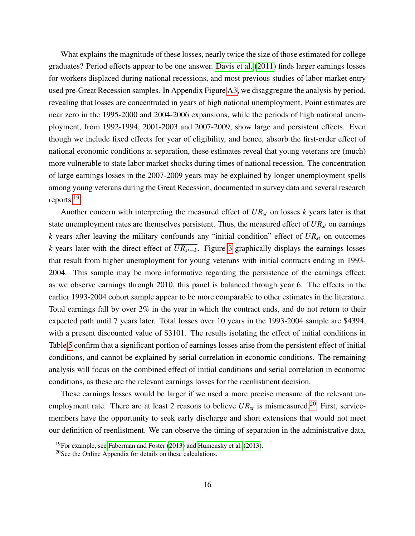What explains the magnitude of these losses, nearly twice the size of those estimated for college graduates? Period effects appear to be one answer. [Davis et al.](#page-25-0) [\(2011\)](#page-25-0) finds larger earnings losses for workers displaced during national recessions, and most previous studies of labor market entry used pre-Great Recession samples. In Appendix Figure [A3,](#page-36-0) we disaggregate the analysis by period, revealing that losses are concentrated in years of high national unemployment. Point estimates are near zero in the 1995-2000 and 2004-2006 expansions, while the periods of high national unemployment, from 1992-1994, 2001-2003 and 2007-2009, show large and persistent effects. Even though we include fixed effects for year of eligibility, and hence, absorb the first-order effect of national economic conditions at separation, these estimates reveal that young veterans are (much) more vulnerable to state labor market shocks during times of national recession. The concentration of large earnings losses in the 2007-2009 years may be explained by longer unemployment spells among young veterans during the Great Recession, documented in survey data and several research reports.[19](#page-18-0)

Another concern with interpreting the measured effect of  $UR_{st}$  on losses  $k$  years later is that state unemployment rates are themselves persistent. Thus, the measured effect of  $UR_{st}$  on earnings *k* years after leaving the military confounds any "initial condition" effect of *URst* on outcomes *k* years later with the direct effect of  $\overline{UR_{st+k}}$ . Figure [3](#page-36-0) graphically displays the earnings losses that result from higher unemployment for young veterans with initial contracts ending in 1993- 2004. This sample may be more informative regarding the persistence of the earnings effect; as we observe earnings through 2010, this panel is balanced through year 6. The effects in the earlier 1993-2004 cohort sample appear to be more comparable to other estimates in the literature. Total earnings fall by over 2% in the year in which the contract ends, and do not return to their expected path until 7 years later. Total losses over 10 years in the 1993-2004 sample are \$4394, with a present discounted value of \$3101. The results isolating the effect of initial conditions in Table [5](#page-32-0) confirm that a significant portion of earnings losses arise from the persistent effect of initial conditions, and cannot be explained by serial correlation in economic conditions. The remaining analysis will focus on the combined effect of initial conditions and serial correlation in economic conditions, as these are the relevant earnings losses for the reenlistment decision.

These earnings losses would be larger if we used a more precise measure of the relevant unemployment rate. There are at least 2 reasons to believe  $UR_{st}$  is mismeasured.<sup>[20](#page-18-1)</sup> First, servicemembers have the opportunity to seek early discharge and short extensions that would not meet our definition of reenlistment. We can observe the timing of separation in the administrative data,

<span id="page-18-0"></span><sup>&</sup>lt;sup>19</sup>For example, see [Faberman and Foster](#page-26-10)  $(2013)$  and [Humensky et al.](#page-26-11) (2013).

<span id="page-18-1"></span> $20$ See the Online Appendix for details on these calculations.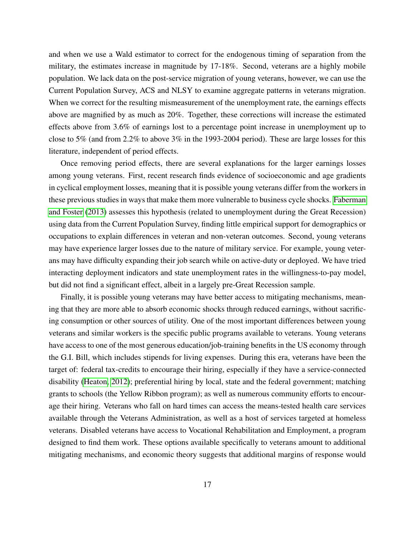and when we use a Wald estimator to correct for the endogenous timing of separation from the military, the estimates increase in magnitude by 17-18%. Second, veterans are a highly mobile population. We lack data on the post-service migration of young veterans, however, we can use the Current Population Survey, ACS and NLSY to examine aggregate patterns in veterans migration. When we correct for the resulting mismeasurement of the unemployment rate, the earnings effects above are magnified by as much as 20%. Together, these corrections will increase the estimated effects above from 3.6% of earnings lost to a percentage point increase in unemployment up to close to 5% (and from 2.2% to above 3% in the 1993-2004 period). These are large losses for this literature, independent of period effects.

Once removing period effects, there are several explanations for the larger earnings losses among young veterans. First, recent research finds evidence of socioeconomic and age gradients in cyclical employment losses, meaning that it is possible young veterans differ from the workers in these previous studies in ways that make them more vulnerable to business cycle shocks. [Faberman](#page-26-10) [and Foster](#page-26-10) [\(2013\)](#page-26-10) assesses this hypothesis (related to unemployment during the Great Recession) using data from the Current Population Survey, finding little empirical support for demographics or occupations to explain differences in veteran and non-veteran outcomes. Second, young veterans may have experience larger losses due to the nature of military service. For example, young veterans may have difficulty expanding their job search while on active-duty or deployed. We have tried interacting deployment indicators and state unemployment rates in the willingness-to-pay model, but did not find a significant effect, albeit in a largely pre-Great Recession sample.

Finally, it is possible young veterans may have better access to mitigating mechanisms, meaning that they are more able to absorb economic shocks through reduced earnings, without sacrificing consumption or other sources of utility. One of the most important differences between young veterans and similar workers is the specific public programs available to veterans. Young veterans have access to one of the most generous education/job-training benefits in the US economy through the G.I. Bill, which includes stipends for living expenses. During this era, veterans have been the target of: federal tax-credits to encourage their hiring, especially if they have a service-connected disability [\(Heaton, 2012\)](#page-26-12); preferential hiring by local, state and the federal government; matching grants to schools (the Yellow Ribbon program); as well as numerous community efforts to encourage their hiring. Veterans who fall on hard times can access the means-tested health care services available through the Veterans Administration, as well as a host of services targeted at homeless veterans. Disabled veterans have access to Vocational Rehabilitation and Employment, a program designed to find them work. These options available specifically to veterans amount to additional mitigating mechanisms, and economic theory suggests that additional margins of response would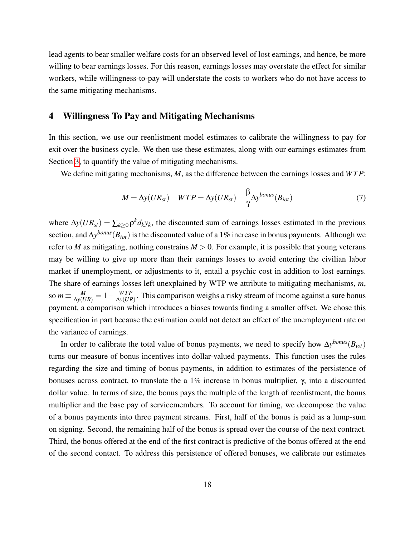lead agents to bear smaller welfare costs for an observed level of lost earnings, and hence, be more willing to bear earnings losses. For this reason, earnings losses may overstate the effect for similar workers, while willingness-to-pay will understate the costs to workers who do not have access to the same mitigating mechanisms.

## <span id="page-20-0"></span>4 Willingness To Pay and Mitigating Mechanisms

In this section, we use our reenlistment model estimates to calibrate the willingness to pay for exit over the business cycle. We then use these estimates, along with our earnings estimates from Section [3,](#page-14-0) to quantify the value of mitigating mechanisms.

We define mitigating mechanisms, *M*, as the difference between the earnings losses and *W T P*:

$$
M = \Delta y (UR_{st}) - WTP = \Delta y (UR_{st}) - \frac{\beta}{\gamma} \Delta y^{bonus} (B_{iot})
$$
\n(7)

where  $\Delta y(UR_{st}) = \sum_{k \geq 0} \rho^k d_k y_k$ , the discounted sum of earnings losses estimated in the previous section, and ∆*y bonus*(*Biot*) is the discounted value of a 1% increase in bonus payments. Although we refer to *M* as mitigating, nothing constrains  $M > 0$ . For example, it is possible that young veterans may be willing to give up more than their earnings losses to avoid entering the civilian labor market if unemployment, or adjustments to it, entail a psychic cost in addition to lost earnings. The share of earnings losses left unexplained by WTP we attribute to mitigating mechanisms, *m*, so  $m \equiv \frac{M}{\Delta y (UR)} = 1 - \frac{WTP}{\Delta y (UR)}$  $\frac{WTP}{\Delta y(UR)}$ . This comparison weighs a risky stream of income against a sure bonus payment, a comparison which introduces a biases towards finding a smaller offset. We chose this specification in part because the estimation could not detect an effect of the unemployment rate on the variance of earnings.

In order to calibrate the total value of bonus payments, we need to specify how  $\Delta y^{bonus}(B_{iot})$ turns our measure of bonus incentives into dollar-valued payments. This function uses the rules regarding the size and timing of bonus payments, in addition to estimates of the persistence of bonuses across contract, to translate the a 1% increase in bonus multiplier, γ, into a discounted dollar value. In terms of size, the bonus pays the multiple of the length of reenlistment, the bonus multiplier and the base pay of servicemembers. To account for timing, we decompose the value of a bonus payments into three payment streams. First, half of the bonus is paid as a lump-sum on signing. Second, the remaining half of the bonus is spread over the course of the next contract. Third, the bonus offered at the end of the first contract is predictive of the bonus offered at the end of the second contact. To address this persistence of offered bonuses, we calibrate our estimates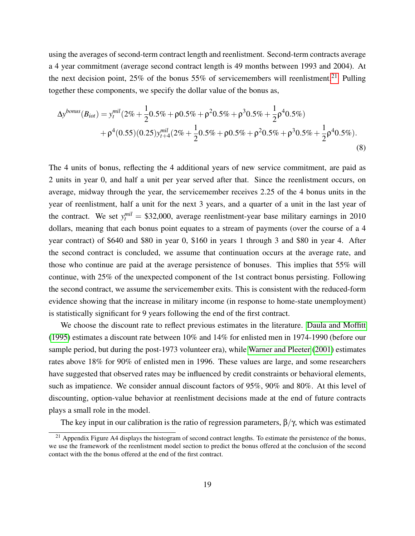using the averages of second-term contract length and reenlistment. Second-term contracts average a 4 year commitment (average second contract length is 49 months between 1993 and 2004). At the next decision point, 25% of the bonus 55% of servicemembers will reenlistment.<sup>[21](#page-21-0)</sup> Pulling together these components, we specify the dollar value of the bonus as,

$$
\Delta y^{bonus}(B_{iot}) = y_t^{mil} (2\% + \frac{1}{2} 0.5\% + \rho 0.5\% + \rho^2 0.5\% + \rho^3 0.5\% + \frac{1}{2} \rho^4 0.5\%) + \rho^4 (0.55)(0.25) y_{t+4}^{mil} (2\% + \frac{1}{2} 0.5\% + \rho 0.5\% + \rho^2 0.5\% + \rho^3 0.5\% + \frac{1}{2} \rho^4 0.5\%)
$$
\n(8)

The 4 units of bonus, reflecting the 4 additional years of new service commitment, are paid as 2 units in year 0, and half a unit per year served after that. Since the reenlistment occurs, on average, midway through the year, the servicemember receives 2.25 of the 4 bonus units in the year of reenlistment, half a unit for the next 3 years, and a quarter of a unit in the last year of the contract. We set  $y_t^{mil} = $32,000$ , average reenlistment-year base military earnings in 2010 dollars, meaning that each bonus point equates to a stream of payments (over the course of a 4 year contract) of \$640 and \$80 in year 0, \$160 in years 1 through 3 and \$80 in year 4. After the second contract is concluded, we assume that continuation occurs at the average rate, and those who continue are paid at the average persistence of bonuses. This implies that 55% will continue, with 25% of the unexpected component of the 1st contract bonus persisting. Following the second contract, we assume the servicemember exits. This is consistent with the reduced-form evidence showing that the increase in military income (in response to home-state unemployment) is statistically significant for 9 years following the end of the first contract.

We choose the discount rate to reflect previous estimates in the literature. [Daula and Moffitt](#page-25-11) [\(1995\)](#page-25-11) estimates a discount rate between 10% and 14% for enlisted men in 1974-1990 (before our sample period, but during the post-1973 volunteer era), while [Warner and Pleeter](#page-27-5) [\(2001\)](#page-27-5) estimates rates above 18% for 90% of enlisted men in 1996. These values are large, and some researchers have suggested that observed rates may be influenced by credit constraints or behavioral elements, such as impatience. We consider annual discount factors of 95%, 90% and 80%. At this level of discounting, option-value behavior at reenlistment decisions made at the end of future contracts plays a small role in the model.

The key input in our calibration is the ratio of regression parameters,  $\beta/\gamma$ , which was estimated

<span id="page-21-0"></span> $^{21}$  Appendix Figure A4 displays the histogram of second contract lengths. To estimate the persistence of the bonus, we use the framework of the reenlistment model section to predict the bonus offered at the conclusion of the second contact with the the bonus offered at the end of the first contract.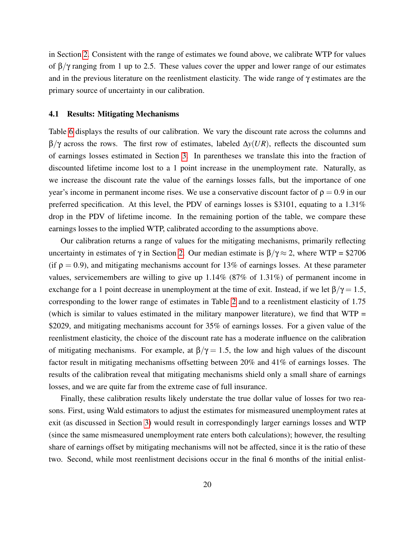in Section [2.](#page-9-2) Consistent with the range of estimates we found above, we calibrate WTP for values of  $\beta/\gamma$  ranging from 1 up to 2.5. These values cover the upper and lower range of our estimates and in the previous literature on the reenlistment elasticity. The wide range of γ estimates are the primary source of uncertainty in our calibration.

#### 4.1 Results: Mitigating Mechanisms

Table [6](#page-33-0) displays the results of our calibration. We vary the discount rate across the columns and β/γ across the rows. The first row of estimates, labeled ∆*y*(*UR*), reflects the discounted sum of earnings losses estimated in Section [3.](#page-14-0) In parentheses we translate this into the fraction of discounted lifetime income lost to a 1 point increase in the unemployment rate. Naturally, as we increase the discount rate the value of the earnings losses falls, but the importance of one year's income in permanent income rises. We use a conservative discount factor of  $\rho = 0.9$  in our preferred specification. At this level, the PDV of earnings losses is \$3101, equating to a 1.31% drop in the PDV of lifetime income. In the remaining portion of the table, we compare these earnings losses to the implied WTP, calibrated according to the assumptions above.

Our calibration returns a range of values for the mitigating mechanisms, primarily reflecting uncertainty in estimates of  $\gamma$  in Section [2.](#page-9-2) Our median estimate is  $\beta/\gamma \approx 2$ , where WTP = \$2706 (if  $\rho = 0.9$ ), and mitigating mechanisms account for 13% of earnings losses. At these parameter values, servicemembers are willing to give up 1.14% (87% of 1.31%) of permanent income in exchange for a 1 point decrease in unemployment at the time of exit. Instead, if we let  $\beta/\gamma = 1.5$ , corresponding to the lower range of estimates in Table [2](#page-29-0) and to a reenlistment elasticity of 1.75 (which is similar to values estimated in the military manpower literature), we find that  $WTP =$ \$2029, and mitigating mechanisms account for 35% of earnings losses. For a given value of the reenlistment elasticity, the choice of the discount rate has a moderate influence on the calibration of mitigating mechanisms. For example, at  $\beta/\gamma = 1.5$ , the low and high values of the discount factor result in mitigating mechanisms offsetting between 20% and 41% of earnings losses. The results of the calibration reveal that mitigating mechanisms shield only a small share of earnings losses, and we are quite far from the extreme case of full insurance.

Finally, these calibration results likely understate the true dollar value of losses for two reasons. First, using Wald estimators to adjust the estimates for mismeasured unemployment rates at exit (as discussed in Section [3\)](#page-14-0) would result in correspondingly larger earnings losses and WTP (since the same mismeasured unemployment rate enters both calculations); however, the resulting share of earnings offset by mitigating mechanisms will not be affected, since it is the ratio of these two. Second, while most reenlistment decisions occur in the final 6 months of the initial enlist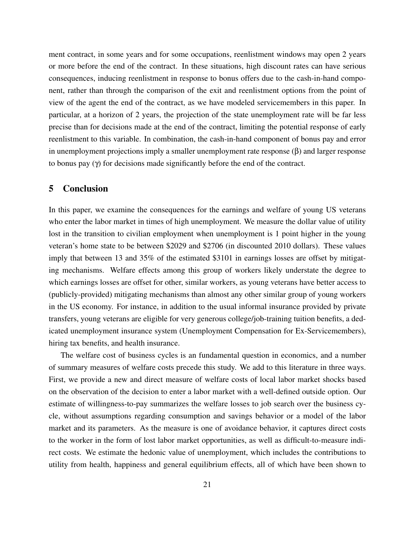ment contract, in some years and for some occupations, reenlistment windows may open 2 years or more before the end of the contract. In these situations, high discount rates can have serious consequences, inducing reenlistment in response to bonus offers due to the cash-in-hand component, rather than through the comparison of the exit and reenlistment options from the point of view of the agent the end of the contract, as we have modeled servicemembers in this paper. In particular, at a horizon of 2 years, the projection of the state unemployment rate will be far less precise than for decisions made at the end of the contract, limiting the potential response of early reenlistment to this variable. In combination, the cash-in-hand component of bonus pay and error in unemployment projections imply a smaller unemployment rate response  $(\beta)$  and larger response to bonus pay (γ) for decisions made significantly before the end of the contract.

## 5 Conclusion

In this paper, we examine the consequences for the earnings and welfare of young US veterans who enter the labor market in times of high unemployment. We measure the dollar value of utility lost in the transition to civilian employment when unemployment is 1 point higher in the young veteran's home state to be between \$2029 and \$2706 (in discounted 2010 dollars). These values imply that between 13 and 35% of the estimated \$3101 in earnings losses are offset by mitigating mechanisms. Welfare effects among this group of workers likely understate the degree to which earnings losses are offset for other, similar workers, as young veterans have better access to (publicly-provided) mitigating mechanisms than almost any other similar group of young workers in the US economy. For instance, in addition to the usual informal insurance provided by private transfers, young veterans are eligible for very generous college/job-training tuition benefits, a dedicated unemployment insurance system (Unemployment Compensation for Ex-Servicemembers), hiring tax benefits, and health insurance.

The welfare cost of business cycles is an fundamental question in economics, and a number of summary measures of welfare costs precede this study. We add to this literature in three ways. First, we provide a new and direct measure of welfare costs of local labor market shocks based on the observation of the decision to enter a labor market with a well-defined outside option. Our estimate of willingness-to-pay summarizes the welfare losses to job search over the business cycle, without assumptions regarding consumption and savings behavior or a model of the labor market and its parameters. As the measure is one of avoidance behavior, it captures direct costs to the worker in the form of lost labor market opportunities, as well as difficult-to-measure indirect costs. We estimate the hedonic value of unemployment, which includes the contributions to utility from health, happiness and general equilibrium effects, all of which have been shown to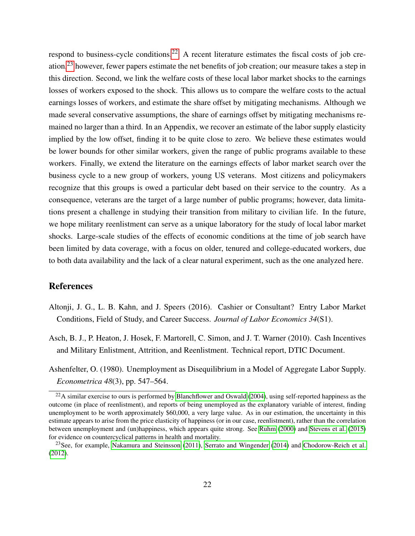respond to business-cycle conditions.<sup>[22](#page-24-2)</sup> A recent literature estimates the fiscal costs of job creation,[23](#page-24-3) however, fewer papers estimate the net benefits of job creation; our measure takes a step in this direction. Second, we link the welfare costs of these local labor market shocks to the earnings losses of workers exposed to the shock. This allows us to compare the welfare costs to the actual earnings losses of workers, and estimate the share offset by mitigating mechanisms. Although we made several conservative assumptions, the share of earnings offset by mitigating mechanisms remained no larger than a third. In an Appendix, we recover an estimate of the labor supply elasticity implied by the low offset, finding it to be quite close to zero. We believe these estimates would be lower bounds for other similar workers, given the range of public programs available to these workers. Finally, we extend the literature on the earnings effects of labor market search over the business cycle to a new group of workers, young US veterans. Most citizens and policymakers recognize that this groups is owed a particular debt based on their service to the country. As a consequence, veterans are the target of a large number of public programs; however, data limitations present a challenge in studying their transition from military to civilian life. In the future, we hope military reenlistment can serve as a unique laboratory for the study of local labor market shocks. Large-scale studies of the effects of economic conditions at the time of job search have been limited by data coverage, with a focus on older, tenured and college-educated workers, due to both data availability and the lack of a clear natural experiment, such as the one analyzed here.

## References

- <span id="page-24-0"></span>Altonji, J. G., L. B. Kahn, and J. Speers (2016). Cashier or Consultant? Entry Labor Market Conditions, Field of Study, and Career Success. *Journal of Labor Economics 34*(S1).
- <span id="page-24-1"></span>Asch, B. J., P. Heaton, J. Hosek, F. Martorell, C. Simon, and J. T. Warner (2010). Cash Incentives and Military Enlistment, Attrition, and Reenlistment. Technical report, DTIC Document.
- <span id="page-24-4"></span>Ashenfelter, O. (1980). Unemployment as Disequilibrium in a Model of Aggregate Labor Supply. *Econometrica 48*(3), pp. 547–564.

<span id="page-24-2"></span> $^{22}$ A similar exercise to ours is performed by [Blanchflower and Oswald](#page-25-2) [\(2004\)](#page-25-2), using self-reported happiness as the outcome (in place of reenlistment), and reports of being unemployed as the explanatory variable of interest, finding unemployment to be worth approximately \$60,000, a very large value. As in our estimation, the uncertainty in this estimate appears to arise from the price elasticity of happiness (or in our case, reenlistment), rather than the correlation between unemployment and (un)happiness, which appears quite strong. See [Ruhm](#page-27-7) [\(2000\)](#page-27-7) and [Stevens et al.](#page-27-8) [\(2015\)](#page-27-8) for evidence on countercyclical patterns in health and mortality.

<span id="page-24-3"></span><sup>&</sup>lt;sup>23</sup>See, for example, [Nakamura and Steinsson](#page-27-9) [\(2011\)](#page-27-9), [Serrato and Wingender](#page-27-10) [\(2014\)](#page-27-10) and [Chodorow-Reich et al.](#page-25-12) [\(2012\)](#page-25-12).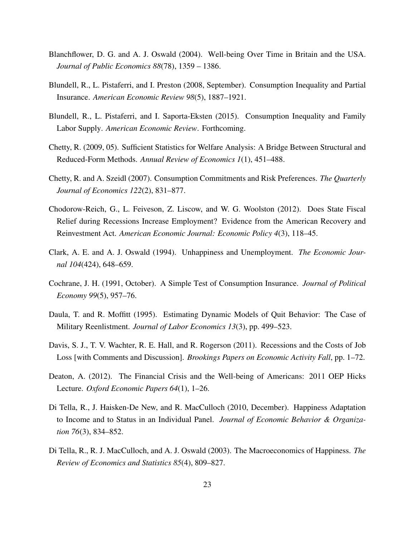- <span id="page-25-2"></span>Blanchflower, D. G. and A. J. Oswald (2004). Well-being Over Time in Britain and the USA. *Journal of Public Economics 88*(78), 1359 – 1386.
- <span id="page-25-7"></span>Blundell, R., L. Pistaferri, and I. Preston (2008, September). Consumption Inequality and Partial Insurance. *American Economic Review 98*(5), 1887–1921.
- <span id="page-25-9"></span>Blundell, R., L. Pistaferri, and I. Saporta-Eksten (2015). Consumption Inequality and Family Labor Supply. *American Economic Review*. Forthcoming.
- <span id="page-25-10"></span>Chetty, R. (2009, 05). Sufficient Statistics for Welfare Analysis: A Bridge Between Structural and Reduced-Form Methods. *Annual Review of Economics 1*(1), 451–488.
- <span id="page-25-8"></span>Chetty, R. and A. Szeidl (2007). Consumption Commitments and Risk Preferences. *The Quarterly Journal of Economics 122*(2), 831–877.
- <span id="page-25-12"></span>Chodorow-Reich, G., L. Feiveson, Z. Liscow, and W. G. Woolston (2012). Does State Fiscal Relief during Recessions Increase Employment? Evidence from the American Recovery and Reinvestment Act. *American Economic Journal: Economic Policy 4*(3), 118–45.
- <span id="page-25-1"></span>Clark, A. E. and A. J. Oswald (1994). Unhappiness and Unemployment. *The Economic Journal 104*(424), 648–659.
- <span id="page-25-6"></span>Cochrane, J. H. (1991, October). A Simple Test of Consumption Insurance. *Journal of Political Economy 99*(5), 957–76.
- <span id="page-25-11"></span>Daula, T. and R. Moffitt (1995). Estimating Dynamic Models of Quit Behavior: The Case of Military Reenlistment. *Journal of Labor Economics 13*(3), pp. 499–523.
- <span id="page-25-0"></span>Davis, S. J., T. V. Wachter, R. E. Hall, and R. Rogerson (2011). Recessions and the Costs of Job Loss [with Comments and Discussion]. *Brookings Papers on Economic Activity Fall*, pp. 1–72.
- <span id="page-25-5"></span>Deaton, A. (2012). The Financial Crisis and the Well-being of Americans: 2011 OEP Hicks Lecture. *Oxford Economic Papers 64*(1), 1–26.
- <span id="page-25-4"></span>Di Tella, R., J. Haisken-De New, and R. MacCulloch (2010, December). Happiness Adaptation to Income and to Status in an Individual Panel. *Journal of Economic Behavior & Organization 76*(3), 834–852.
- <span id="page-25-3"></span>Di Tella, R., R. J. MacCulloch, and A. J. Oswald (2003). The Macroeconomics of Happiness. *The Review of Economics and Statistics 85*(4), 809–827.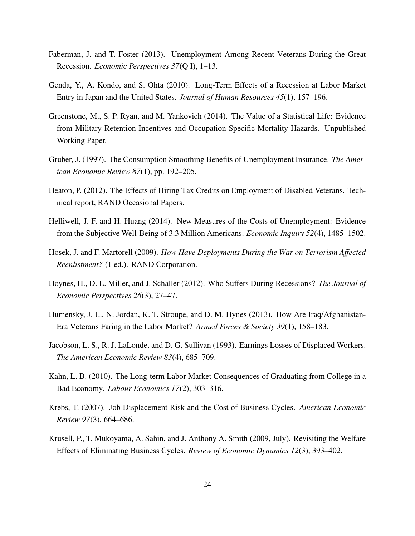- <span id="page-26-10"></span>Faberman, J. and T. Foster (2013). Unemployment Among Recent Veterans During the Great Recession. *Economic Perspectives 37*(Q I), 1–13.
- <span id="page-26-0"></span>Genda, Y., A. Kondo, and S. Ohta (2010). Long-Term Effects of a Recession at Labor Market Entry in Japan and the United States. *Journal of Human Resources 45*(1), 157–196.
- <span id="page-26-9"></span>Greenstone, M., S. P. Ryan, and M. Yankovich (2014). The Value of a Statistical Life: Evidence from Military Retention Incentives and Occupation-Specific Mortality Hazards. Unpublished Working Paper.
- <span id="page-26-4"></span>Gruber, J. (1997). The Consumption Smoothing Benefits of Unemployment Insurance. *The American Economic Review 87*(1), pp. 192–205.
- <span id="page-26-12"></span>Heaton, P. (2012). The Effects of Hiring Tax Credits on Employment of Disabled Veterans. Technical report, RAND Occasional Papers.
- <span id="page-26-3"></span>Helliwell, J. F. and H. Huang (2014). New Measures of the Costs of Unemployment: Evidence from the Subjective Well-Being of 3.3 Million Americans. *Economic Inquiry 52*(4), 1485–1502.
- <span id="page-26-8"></span>Hosek, J. and F. Martorell (2009). *How Have Deployments During the War on Terrorism Affected Reenlistment?* (1 ed.). RAND Corporation.
- <span id="page-26-7"></span>Hoynes, H., D. L. Miller, and J. Schaller (2012). Who Suffers During Recessions? *The Journal of Economic Perspectives 26*(3), 27–47.
- <span id="page-26-11"></span>Humensky, J. L., N. Jordan, K. T. Stroupe, and D. M. Hynes (2013). How Are Iraq/Afghanistan-Era Veterans Faring in the Labor Market? *Armed Forces & Society 39*(1), 158–183.
- <span id="page-26-2"></span>Jacobson, L. S., R. J. LaLonde, and D. G. Sullivan (1993). Earnings Losses of Displaced Workers. *The American Economic Review 83*(4), 685–709.
- <span id="page-26-1"></span>Kahn, L. B. (2010). The Long-term Labor Market Consequences of Graduating from College in a Bad Economy. *Labour Economics 17*(2), 303–316.
- <span id="page-26-5"></span>Krebs, T. (2007). Job Displacement Risk and the Cost of Business Cycles. *American Economic Review 97*(3), 664–686.
- <span id="page-26-6"></span>Krusell, P., T. Mukoyama, A. Sahin, and J. Anthony A. Smith (2009, July). Revisiting the Welfare Effects of Eliminating Business Cycles. *Review of Economic Dynamics 12*(3), 393–402.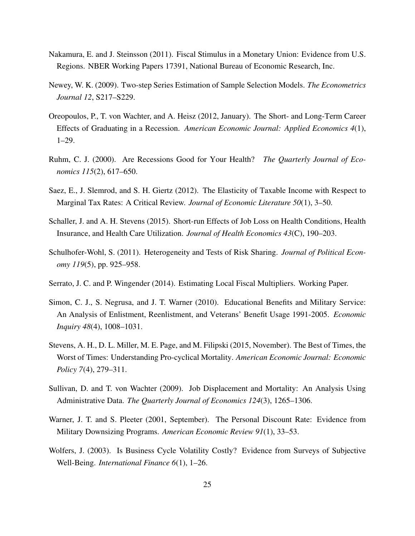- <span id="page-27-9"></span>Nakamura, E. and J. Steinsson (2011). Fiscal Stimulus in a Monetary Union: Evidence from U.S. Regions. NBER Working Papers 17391, National Bureau of Economic Research, Inc.
- <span id="page-27-6"></span>Newey, W. K. (2009). Two-step Series Estimation of Sample Selection Models. *The Econometrics Journal 12*, S217–S229.
- <span id="page-27-0"></span>Oreopoulos, P., T. von Wachter, and A. Heisz (2012, January). The Short- and Long-Term Career Effects of Graduating in a Recession. *American Economic Journal: Applied Economics 4*(1), 1–29.
- <span id="page-27-7"></span>Ruhm, C. J. (2000). Are Recessions Good for Your Health? *The Quarterly Journal of Economics 115*(2), 617–650.
- <span id="page-27-12"></span>Saez, E., J. Slemrod, and S. H. Giertz (2012). The Elasticity of Taxable Income with Respect to Marginal Tax Rates: A Critical Review. *Journal of Economic Literature 50*(1), 3–50.
- <span id="page-27-3"></span>Schaller, J. and A. H. Stevens (2015). Short-run Effects of Job Loss on Health Conditions, Health Insurance, and Health Care Utilization. *Journal of Health Economics 43*(C), 190–203.
- <span id="page-27-4"></span>Schulhofer-Wohl, S. (2011). Heterogeneity and Tests of Risk Sharing. *Journal of Political Economy 119*(5), pp. 925–958.
- <span id="page-27-10"></span>Serrato, J. C. and P. Wingender (2014). Estimating Local Fiscal Multipliers. Working Paper.
- <span id="page-27-11"></span>Simon, C. J., S. Negrusa, and J. T. Warner (2010). Educational Benefits and Military Service: An Analysis of Enlistment, Reenlistment, and Veterans' Benefit Usage 1991-2005. *Economic Inquiry 48*(4), 1008–1031.
- <span id="page-27-8"></span>Stevens, A. H., D. L. Miller, M. E. Page, and M. Filipski (2015, November). The Best of Times, the Worst of Times: Understanding Pro-cyclical Mortality. *American Economic Journal: Economic Policy 7*(4), 279–311.
- <span id="page-27-2"></span>Sullivan, D. and T. von Wachter (2009). Job Displacement and Mortality: An Analysis Using Administrative Data. *The Quarterly Journal of Economics 124*(3), 1265–1306.
- <span id="page-27-5"></span>Warner, J. T. and S. Pleeter (2001, September). The Personal Discount Rate: Evidence from Military Downsizing Programs. *American Economic Review 91*(1), 33–53.
- <span id="page-27-1"></span>Wolfers, J. (2003). Is Business Cycle Volatility Costly? Evidence from Surveys of Subjective Well-Being. *International Finance 6*(1), 1–26.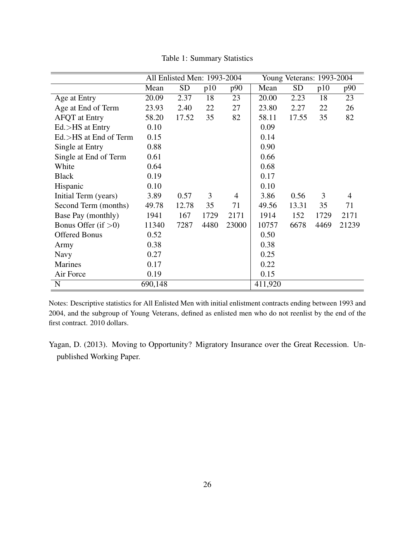|                        | All Enlisted Men: 1993-2004 |           |      |       | Young Veterans: 1993-2004 |           |      |                |  |
|------------------------|-----------------------------|-----------|------|-------|---------------------------|-----------|------|----------------|--|
|                        | Mean                        | <b>SD</b> | p10  | p90   | Mean                      | <b>SD</b> | p10  | p90            |  |
| Age at Entry           | 20.09                       | 2.37      | 18   | 23    | 20.00                     | 2.23      | 18   | 23             |  |
| Age at End of Term     | 23.93                       | 2.40      | 22   | 27    | 23.80                     | 2.27      | 22   | 26             |  |
| <b>AFQT</b> at Entry   | 58.20                       | 17.52     | 35   | 82    | 58.11                     | 17.55     | 35   | 82             |  |
| $Ed$ $>$ HS at Entry   | 0.10                        |           |      |       | 0.09                      |           |      |                |  |
| Ed.>HS at End of Term  | 0.15                        |           |      |       | 0.14                      |           |      |                |  |
| Single at Entry        | 0.88                        |           |      |       | 0.90                      |           |      |                |  |
| Single at End of Term  | 0.61                        |           |      |       | 0.66                      |           |      |                |  |
| White                  | 0.64                        |           |      |       | 0.68                      |           |      |                |  |
| <b>Black</b>           | 0.19                        |           |      |       | 0.17                      |           |      |                |  |
| Hispanic               | 0.10                        |           |      |       | 0.10                      |           |      |                |  |
| Initial Term (years)   | 3.89                        | 0.57      | 3    | 4     | 3.86                      | 0.56      | 3    | $\overline{4}$ |  |
| Second Term (months)   | 49.78                       | 12.78     | 35   | 71    | 49.56                     | 13.31     | 35   | 71             |  |
| Base Pay (monthly)     | 1941                        | 167       | 1729 | 2171  | 1914                      | 152       | 1729 | 2171           |  |
| Bonus Offer (if $>0$ ) | 11340                       | 7287      | 4480 | 23000 | 10757                     | 6678      | 4469 | 21239          |  |
| <b>Offered Bonus</b>   | 0.52                        |           |      |       | 0.50                      |           |      |                |  |
| Army                   | 0.38                        |           |      |       | 0.38                      |           |      |                |  |
| <b>Navy</b>            | 0.27                        |           |      |       | 0.25                      |           |      |                |  |
| <b>Marines</b>         | 0.17                        |           |      |       | 0.22                      |           |      |                |  |
| Air Force              | 0.19                        |           |      |       | 0.15                      |           |      |                |  |
| N                      | 690,148                     |           |      |       | 411,920                   |           |      |                |  |

<span id="page-28-0"></span>Table 1: Summary Statistics

Notes: Descriptive statistics for All Enlisted Men with initial enlistment contracts ending between 1993 and 2004, and the subgroup of Young Veterans, defined as enlisted men who do not reenlist by the end of the first contract. 2010 dollars.

<span id="page-28-1"></span>Yagan, D. (2013). Moving to Opportunity? Migratory Insurance over the Great Recession. Unpublished Working Paper.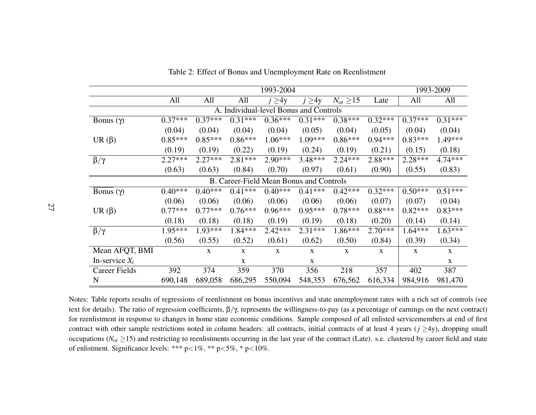|                                         |           | 1993-2009   |              |             |              |                  |              |              |             |  |  |
|-----------------------------------------|-----------|-------------|--------------|-------------|--------------|------------------|--------------|--------------|-------------|--|--|
|                                         | All       | All         | All          | $j \geq 4y$ | $j \geq 4y$  | $N_{ot} \geq 15$ | Late         | All          | All         |  |  |
| A. Individual-level Bonus and Controls  |           |             |              |             |              |                  |              |              |             |  |  |
| Bonus (γ)                               | $0.37***$ | $0.37***$   | $0.31***$    | $0.36***$   | $0.31***$    | $0.38***$        | $0.32***$    | $0.37***$    | $0.31***$   |  |  |
|                                         | (0.04)    | (0.04)      | (0.04)       | (0.04)      | (0.05)       | (0.04)           | (0.05)       | (0.04)       | (0.04)      |  |  |
| UR $(\beta)$                            | $0.85***$ | $0.85***$   | $0.86***$    | $1.06***$   | $1.09***$    | $0.86***$        | $0.94***$    | $0.83***$    | 1.49***     |  |  |
|                                         | (0.19)    | (0.19)      | (0.22)       | (0.19)      | (0.24)       | (0.19)           | (0.21)       | (0.15)       | (0.18)      |  |  |
| $\overline{\beta}/\gamma$               | $2.27***$ | $2.27***$   | $2.81***$    | $2.90***$   | $3.48***$    | $2.24***$        | 2.88***      | $2.28***$    | 4.74***     |  |  |
|                                         | (0.63)    | (0.63)      | (0.84)       | (0.70)      | (0.97)       | (0.61)           | (0.90)       | (0.55)       | (0.83)      |  |  |
| B. Career-Field Mean Bonus and Controls |           |             |              |             |              |                  |              |              |             |  |  |
| Bonus (γ)                               | $0.40***$ | $0.40***$   | $0.41***$    | $0.40***$   | $0.41***$    | $0.42***$        | $0.32***$    | $0.50***$    | $0.51***$   |  |  |
|                                         | (0.06)    | (0.06)      | (0.06)       | (0.06)      | (0.06)       | (0.06)           | (0.07)       | (0.07)       | (0.04)      |  |  |
| UR $(\beta)$                            | $0.77***$ | $0.77***$   | $0.76***$    | $0.96***$   | $0.95***$    | $0.78***$        | $0.88***$    | $0.82***$    | $0.83***$   |  |  |
|                                         | (0.18)    | (0.18)      | (0.18)       | (0.19)      | (0.19)       | (0.18)           | (0.20)       | (0.14)       | (0.14)      |  |  |
| $\beta/\gamma$                          | 1.95***   | 1.93***     | 1.84***      | $2.42***$   | $2.31***$    | $1.86***$        | $2.70***$    | $1.64***$    | $1.63***$   |  |  |
|                                         | (0.56)    | (0.55)      | (0.52)       | (0.61)      | (0.62)       | (0.50)           | (0.84)       | (0.39)       | (0.34)      |  |  |
| Mean AFQT, BMI                          |           | $\mathbf X$ | $\mathbf{X}$ | $\mathbf X$ | $\mathbf{X}$ | $\mathbf{X}$     | $\mathbf{X}$ | $\mathbf{X}$ | $\mathbf X$ |  |  |
| In-service $X_i$                        |           |             | X            |             | X            |                  |              |              | X           |  |  |
| Career Fields                           | 392       | 374         | 359          | 370         | 356          | 218              | 357          | 402          | 387         |  |  |
| N                                       | 690,148   | 689,058     | 686,295      | 550,094     | 548,353      | 676,562          | 616,334      | 984,916      | 981,470     |  |  |

<span id="page-29-0"></span>Table 2: Effect of Bonus and Unemployment Rate on Reenlistment

Notes: Table reports results of regressions of reenlistment on bonus incentives and state unemployment rates with <sup>a</sup> rich set of controls (seetext for details). The ratio of regression coefficients,  $\beta/\gamma$ , represents the willingness-to-pay (as a percentage of earnings on the next contract) for reenlistment in response to changes in home state economic conditions. Sample composed of all enlisted servicemembers at end of firstcontract with other sample restrictions noted in column headers: all contracts, initial contracts of at least 4 years (*j* ≥4y), dropping small occupations ( $N_{ot} \ge 15$ ) and restricting to reenlistments occurring in the last year of the contract (Late). s.e. clustered by career field and state of enlistment. Significance levels: \*\*\*  $p<1\%$ , \*\*  $p<5\%$ , \*  $p<10\%$ .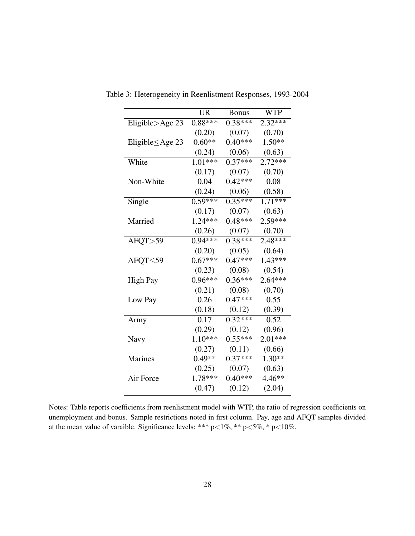<span id="page-30-0"></span>

|                     | <b>UR</b> | <b>Bonus</b> | <b>WTP</b> |
|---------------------|-----------|--------------|------------|
| Eligible $>$ Age 23 | $0.88***$ | $0.38***$    | $2.32***$  |
|                     | (0.20)    | (0.07)       | (0.70)     |
| Eligible ≤Age 23    | $0.60**$  | $0.40***$    | $1.50**$   |
|                     | (0.24)    | (0.06)       | (0.63)     |
| White               | $1.01***$ | $0.37***$    | $2.72***$  |
|                     | (0.17)    | (0.07)       | (0.70)     |
| Non-White           | 0.04      | $0.42***$    | 0.08       |
|                     | (0.24)    | (0.06)       | (0.58)     |
| Single              | $0.59***$ | $0.35***$    | $1.71***$  |
|                     | (0.17)    | (0.07)       | (0.63)     |
| Married             | $1.24***$ | $0.48***$    | 2.59***    |
|                     | (0.26)    | (0.07)       | (0.70)     |
| AFQT>59             | $0.94***$ | $0.38***$    | 2.48***    |
|                     | (0.20)    | (0.05)       | (0.64)     |
| AFQT <sub>59</sub>  | $0.67***$ | $0.47***$    | $1.43***$  |
|                     | (0.23)    | (0.08)       | (0.54)     |
| <b>High Pay</b>     | $0.96***$ | $0.36***$    | $2.64***$  |
|                     | (0.21)    | (0.08)       | (0.70)     |
| Low Pay             | 0.26      | $0.47***$    | 0.55       |
|                     | (0.18)    | (0.12)       | (0.39)     |
| Army                | 0.17      | $0.32***$    | 0.52       |
|                     | (0.29)    | (0.12)       | (0.96)     |
| Navy                | $1.10***$ | $0.55***$    | $2.01***$  |
|                     | (0.27)    | (0.11)       | (0.66)     |
| <b>Marines</b>      | $0.49**$  | $0.37***$    | 1.30**     |
|                     | (0.25)    | (0.07)       | (0.63)     |
| Air Force           | $1.78***$ | $0.40***$    | 4.46**     |
|                     | (0.47)    | (0.12)       | (2.04)     |

Table 3: Heterogeneity in Reenlistment Responses, 1993-2004

Notes: Table reports coefficients from reenlistment model with WTP, the ratio of regression coefficients on unemployment and bonus. Sample restrictions noted in first column. Pay, age and AFQT samples divided at the mean value of varaible. Significance levels: \*\*\*  $p<1\%$ , \*\*  $p<5\%$ , \*  $p<10\%$ .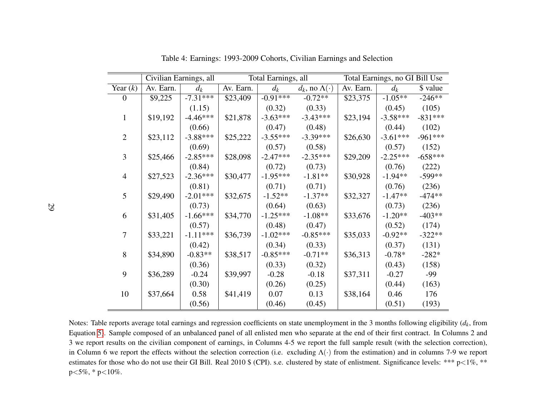|                |           | Civilian Earnings, all |           | Total Earnings, all |                             | Total Earnings, no GI Bill Use |            |           |  |
|----------------|-----------|------------------------|-----------|---------------------|-----------------------------|--------------------------------|------------|-----------|--|
| Year $(k)$     | Av. Earn. | $d_k$                  | Av. Earn. | $d_k$               | $d_k$ , no $\Lambda(\cdot)$ | Av. Earn.                      | $d_k$      | \$ value  |  |
| 0              | \$9,225   | $-7.31***$             | \$23,409  | $-0.91***$          | $-0.72**$                   | \$23,375                       | $-1.05**$  | $-246**$  |  |
|                |           | (1.15)                 |           | (0.32)              | (0.33)                      |                                | (0.45)     | (105)     |  |
| $\mathbf{1}$   | \$19,192  | $-4.46***$             | \$21,878  | $-3.63***$          | $-3.43***$                  | \$23,194                       | $-3.58***$ | $-831***$ |  |
|                |           | (0.66)                 |           | (0.47)              | (0.48)                      |                                | (0.44)     | (102)     |  |
| $\overline{2}$ | \$23,112  | $-3.88***$             | \$25,222  | $-3.55***$          | $-3.39***$                  | \$26,630                       | $-3.61***$ | $-961***$ |  |
|                |           | (0.69)                 |           | (0.57)              | (0.58)                      |                                | (0.57)     | (152)     |  |
| 3              | \$25,466  | $-2.85***$             | \$28,098  | $-2.47***$          | $-2.35***$                  | \$29,209                       | $-2.25***$ | $-658***$ |  |
|                |           | (0.84)                 |           | (0.72)              | (0.73)                      |                                | (0.76)     | (222)     |  |
| $\overline{4}$ | \$27,523  | $-2.36***$             | \$30,477  | $-1.95***$          | $-1.81**$                   | \$30,928                       | $-1.94**$  | $-599**$  |  |
|                |           | (0.81)                 |           | (0.71)              | (0.71)                      |                                | (0.76)     | (236)     |  |
| 5              | \$29,490  | $-2.01***$             | \$32,675  | $-1.52**$           | $-1.37**$                   | \$32,327                       | $-1.47**$  | $-474**$  |  |
|                |           | (0.73)                 |           | (0.64)              | (0.63)                      |                                | (0.73)     | (236)     |  |
| 6              | \$31,405  | $-1.66***$             | \$34,770  | $-1.25***$          | $-1.08**$                   | \$33,676                       | $-1.20**$  | $-403**$  |  |
|                |           | (0.57)                 |           | (0.48)              | (0.47)                      |                                | (0.52)     | (174)     |  |
| 7              | \$33,221  | $-1.11***$             | \$36,739  | $-1.02***$          | $-0.85***$                  | \$35,033                       | $-0.92**$  | $-322**$  |  |
|                |           | (0.42)                 |           | (0.34)              | (0.33)                      |                                | (0.37)     | (131)     |  |
| 8              | \$34,890  | $-0.83**$              | \$38,517  | $-0.85***$          | $-0.71**$                   | \$36,313                       | $-0.78*$   | $-282*$   |  |
|                |           | (0.36)                 |           | (0.33)              | (0.32)                      |                                | (0.43)     | (158)     |  |
| 9              | \$36,289  | $-0.24$                | \$39,997  | $-0.28$             | $-0.18$                     | \$37,311                       | $-0.27$    | -99       |  |
|                |           | (0.30)                 |           | (0.26)              | (0.25)                      |                                | (0.44)     | (163)     |  |
| 10             | \$37,664  | 0.58                   | \$41,419  | 0.07                | 0.13                        | \$38,164                       | 0.46       | 176       |  |
|                |           | (0.56)                 |           | (0.46)              | (0.45)                      |                                | (0.51)     | (193)     |  |

<span id="page-31-1"></span><span id="page-31-0"></span>Table 4: Earnings: 1993-2009 Cohorts, Civilian Earnings and Selection

Notes: Table reports average total earnings and regression coefficients on state unemployment in the 3 months following eligibility (*dk*, from Equation [5\)](#page-16-2). Sample composed of an unbalanced panel of all enlisted men who separate at the end of their first contract. In Columns 2 and 3 we repor<sup>t</sup> results on the civilian componen<sup>t</sup> of earnings, in Columns 4-5 we repor<sup>t</sup> the full sample result (with the selection correction),in Column 6 we report the effects without the selection correction (i.e. excluding  $\Lambda(\cdot)$  from the estimation) and in columns 7-9 we report estimates for those who do not use their GI Bill. Real 2010 \$ (CPI). s.e. clustered by state of enlistment. Significance levels: \*\*\* p<1%, \*\* p<sup>&</sup>lt;5%, \* p<10%.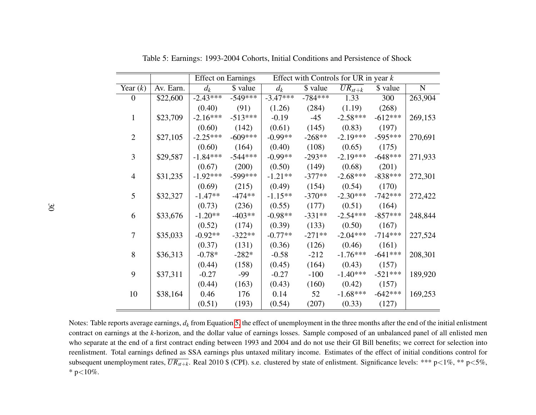|                  |           | <b>Effect on Earnings</b> |           |            | Effect with Controls for UR in year $k$ |                        |           |           |  |
|------------------|-----------|---------------------------|-----------|------------|-----------------------------------------|------------------------|-----------|-----------|--|
| Year $(k)$       | Av. Earn. | $d_k$                     | \$ value  | $d_k$      | \$ value                                | $\overline{UR}_{st+k}$ | \$ value  | ${\bf N}$ |  |
| $\boldsymbol{0}$ | \$22,600  | $-2.43***$                | $-549***$ | $-3.47***$ | $-784***$                               | 1.33                   | 300       | 263,904   |  |
|                  |           | (0.40)                    | (91)      | (1.26)     | (284)                                   | (1.19)                 | (268)     |           |  |
| $\mathbf{1}$     | \$23,709  | $-2.16***$                | $-513***$ | $-0.19$    | $-45$                                   | $-2.58***$             | $-612***$ | 269,153   |  |
|                  |           | (0.60)                    | (142)     | (0.61)     | (145)                                   | (0.83)                 | (197)     |           |  |
| $\overline{2}$   | \$27,105  | $-2.25***$                | $-609***$ | $-0.99**$  | $-268**$                                | $-2.19***$             | $-595***$ | 270,691   |  |
|                  |           | (0.60)                    | (164)     | (0.40)     | (108)                                   | (0.65)                 | (175)     |           |  |
| 3                | \$29,587  | $-1.84***$                | $-544***$ | $-0.99**$  | $-293**$                                | $-2.19***$             | $-648***$ | 271,933   |  |
|                  |           | (0.67)                    | (200)     | (0.50)     | (149)                                   | (0.68)                 | (201)     |           |  |
| $\overline{4}$   | \$31,235  | $-1.92***$                | $-599***$ | $-1.21**$  | $-377**$                                | $-2.68***$             | $-838***$ | 272,301   |  |
|                  |           | (0.69)                    | (215)     | (0.49)     | (154)                                   | (0.54)                 | (170)     |           |  |
| 5                | \$32,327  | $-1.47**$                 | $-474**$  | $-1.15**$  | $-370**$                                | $-2.30***$             | $-742***$ | 272,422   |  |
|                  |           | (0.73)                    | (236)     | (0.55)     | (177)                                   | (0.51)                 | (164)     |           |  |
| 6                | \$33,676  | $-1.20**$                 | $-403**$  | $-0.98**$  | $-331**$                                | $-2.54***$             | $-857***$ | 248,844   |  |
|                  |           | (0.52)                    | (174)     | (0.39)     | (133)                                   | (0.50)                 | (167)     |           |  |
| $\tau$           | \$35,033  | $-0.92**$                 | $-322**$  | $-0.77**$  | $-271**$                                | $-2.04***$             | $-714***$ | 227,524   |  |
|                  |           | (0.37)                    | (131)     | (0.36)     | (126)                                   | (0.46)                 | (161)     |           |  |
| 8                | \$36,313  | $-0.78*$                  | $-282*$   | $-0.58$    | $-212$                                  | $-1.76***$             | $-641***$ | 208,301   |  |
|                  |           | (0.44)                    | (158)     | (0.45)     | (164)                                   | (0.43)                 | (157)     |           |  |
| 9                | \$37,311  | $-0.27$                   | $-99$     | $-0.27$    | $-100$                                  | $-1.40***$             | $-521***$ | 189,920   |  |
|                  |           | (0.44)                    | (163)     | (0.43)     | (160)                                   | (0.42)                 | (157)     |           |  |
| 10               | \$38,164  | 0.46                      | 176       | 0.14       | 52                                      | $-1.68***$             | $-642***$ | 169,253   |  |
|                  |           | (0.51)                    | (193)     | (0.54)     | (207)                                   | (0.33)                 | (127)     |           |  |

<span id="page-32-0"></span>Table 5: Earnings: 1993-2004 Cohorts, Initial Conditions and Persistence of Shock

Notes: Table reports average earnings,*dk* from Equation [5,](#page-16-2) the effect of unemployment in the three months after the end of the initial enlistment contract on earnings at the*k*-horizon, and the dollar value of earnings losses. Sample composed of an unbalanced panel of all enlisted men who separate at the end of <sup>a</sup> first contract ending between 1993 and 2004 and do not use their GI Bill benefits; we correct for selection into reenlistment. Total earnings defined as SSA earnings plus untaxed military income. Estimates of the effect of initial conditions control forsubsequent unemployment rates,  $\overline{UR_{st+k}}$ . Real 2010 \$ (CPI). s.e. clustered by state of enlistment. Significance levels: \*\*\* p<1%, \*\* p<5%, \* p ${<}10\%$ .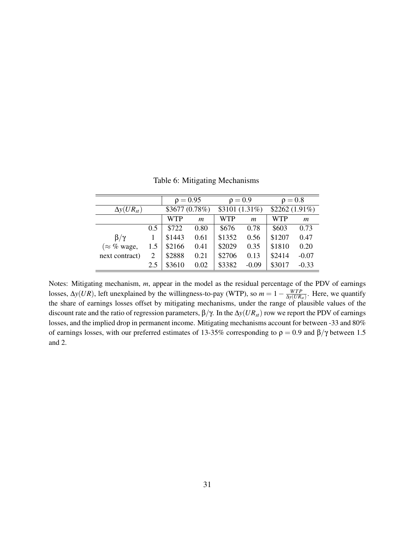|                     |                       | $\rho = 0.95$ |                  | $\rho = 0.9$   |                  | $\rho = 0.8$    |                |
|---------------------|-----------------------|---------------|------------------|----------------|------------------|-----------------|----------------|
| $\Delta y(UR_{st})$ |                       | \$3677(0.78%) |                  | \$3101 (1.31%) |                  | $$2262(1.91\%)$ |                |
|                     |                       | <b>WTP</b>    | $\boldsymbol{m}$ | <b>WTP</b>     | $\boldsymbol{m}$ | <b>WTP</b>      | $\mathfrak{m}$ |
|                     | 0.5                   | \$722         | 0.80             | \$676          | 0.78             | \$603           | 0.73           |
| $\beta/\gamma$      |                       | \$1443        | 0.61             | \$1352         | 0.56             | \$1207          | 0.47           |
| ( $\approx$ % wage, | 1.5                   | \$2166        | 0.41             | \$2029         | 0.35             | \$1810          | 0.20           |
| next contract)      | $\mathcal{D}_{\cdot}$ | \$2888        | 0.21             | \$2706         | 0.13             | \$2414          | $-0.07$        |
|                     | 2.5                   | \$3610        | 0.02             | \$3382         | $-0.09$          | \$3017          | $-0.33$        |

<span id="page-33-0"></span>Table 6: Mitigating Mechanisms

Notes: Mitigating mechanism, *m*, appear in the model as the residual percentage of the PDV of earnings losses,  $\Delta y(UR)$ , left unexplained by the willingness-to-pay (WTP), so  $m = 1 - \frac{WTP}{\Delta y(UR)}$  $\frac{WTP}{\Delta y(UR_{st})}$ . Here, we quantify the share of earnings losses offset by mitigating mechanisms, under the range of plausible values of the discount rate and the ratio of regression parameters, β/γ. In the ∆*y*(*URst*) row we report the PDV of earnings losses, and the implied drop in permanent income. Mitigating mechanisms account for between -33 and 80% of earnings losses, with our preferred estimates of 13-35% corresponding to  $\rho = 0.9$  and  $\beta/\gamma$  between 1.5 and 2.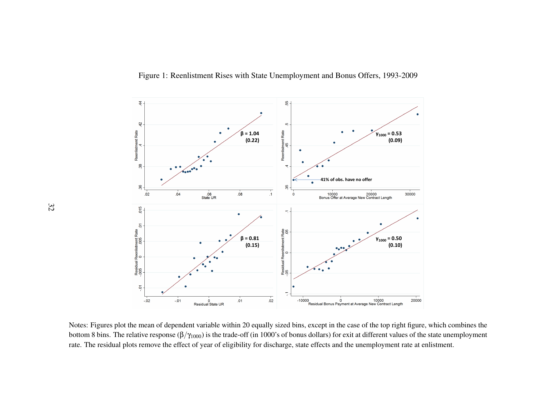<span id="page-34-0"></span>

Notes: Figures plot the mean of dependent variable within 20 equally sized bins, excep<sup>t</sup> in the case of the top right figure, which combines thebottom 8 bins. The relative response  $(\beta/\gamma_{1000})$  is the trade-off (in 1000's of bonus dollars) for exit at different values of the state unemployment rate. The residual plots remove the effect of year of eligibility for discharge, state effects and the unemployment rate at enlistment.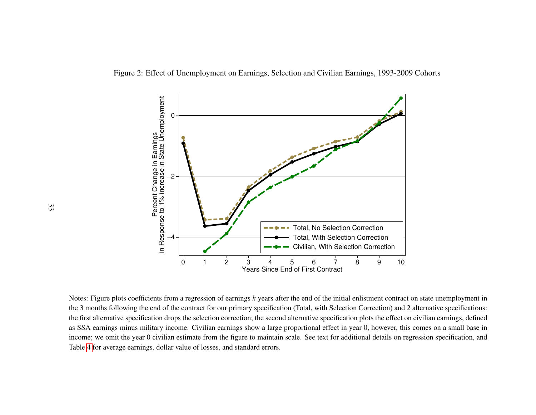<span id="page-35-0"></span>Figure 2: Effect of Unemployment on Earnings, Selection and Civilian Earnings, 1993-2009 Cohorts



Notes: Figure plots coefficients from <sup>a</sup> regression of earnings*k* years after the end of the initial enlistment contract on state unemployment in the 3 months following the end of the contract for our primary specification (Total, with Selection Correction) and 2 alternative specifications:the first alternative specification drops the selection correction; the second alternative specification plots the effect on civilian earnings, defined as SSA earnings minus military income. Civilian earnings show <sup>a</sup> large proportional effect in year 0, however, this comes on <sup>a</sup> small base in income; we omit the year 0 civilian estimate from the figure to maintain scale. See text for additional details on regression specification, andTable [4](#page-31-1) for average earnings, dollar value of losses, and standard errors.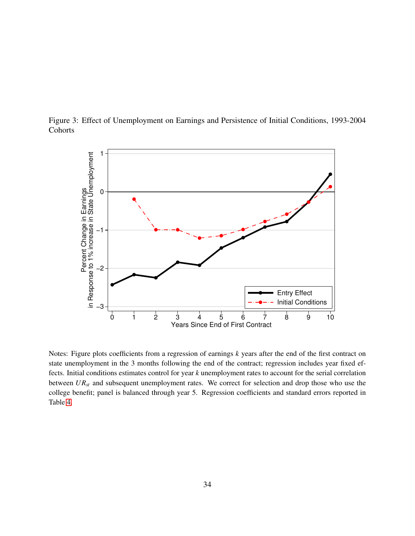

<span id="page-36-0"></span>

Notes: Figure plots coefficients from a regression of earnings *k* years after the end of the first contract on state unemployment in the 3 months following the end of the contract; regression includes year fixed effects. Initial conditions estimates control for year *k* unemployment rates to account for the serial correlation between *URst* and subsequent unemployment rates. We correct for selection and drop those who use the college benefit; panel is balanced through year 5. Regression coefficients and standard errors reported in Table [4.](#page-31-0)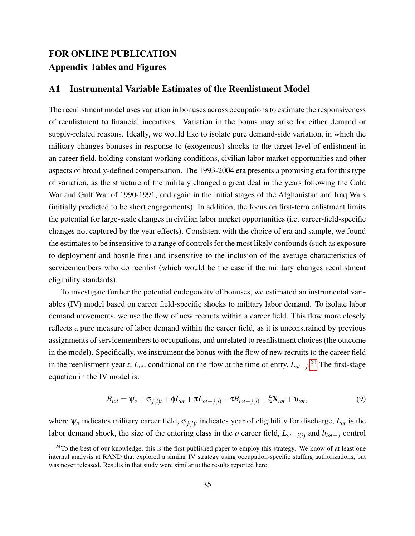## FOR ONLINE PUBLICATION Appendix Tables and Figures

## A1 Instrumental Variable Estimates of the Reenlistment Model

The reenlistment model uses variation in bonuses across occupations to estimate the responsiveness of reenlistment to financial incentives. Variation in the bonus may arise for either demand or supply-related reasons. Ideally, we would like to isolate pure demand-side variation, in which the military changes bonuses in response to (exogenous) shocks to the target-level of enlistment in an career field, holding constant working conditions, civilian labor market opportunities and other aspects of broadly-defined compensation. The 1993-2004 era presents a promising era for this type of variation, as the structure of the military changed a great deal in the years following the Cold War and Gulf War of 1990-1991, and again in the initial stages of the Afghanistan and Iraq Wars (initially predicted to be short engagements). In addition, the focus on first-term enlistment limits the potential for large-scale changes in civilian labor market opportunities (i.e. career-field-specific changes not captured by the year effects). Consistent with the choice of era and sample, we found the estimates to be insensitive to a range of controls for the most likely confounds (such as exposure to deployment and hostile fire) and insensitive to the inclusion of the average characteristics of servicemembers who do reenlist (which would be the case if the military changes reenlistment eligibility standards).

To investigate further the potential endogeneity of bonuses, we estimated an instrumental variables (IV) model based on career field-specific shocks to military labor demand. To isolate labor demand movements, we use the flow of new recruits within a career field. This flow more closely reflects a pure measure of labor demand within the career field, as it is unconstrained by previous assignments of servicemembers to occupations, and unrelated to reenlistment choices (the outcome in the model). Specifically, we instrument the bonus with the flow of new recruits to the career field in the reenlistment year *t*, *Lot*, conditional on the flow at the time of entry, *Lot*−*<sup>j</sup>* . [24](#page-37-0) The first-stage equation in the IV model is:

$$
B_{i\sigma t} = \psi_{o} + \sigma_{j(i)t} + \phi L_{\sigma t} + \pi L_{\sigma t - j(i)} + \tau B_{i\sigma t - j(i)} + \xi \mathbf{X}_{i\sigma t} + \upsilon_{i\sigma t},\tag{9}
$$

where ψ*<sup>o</sup>* indicates military career field, σ*j*(*i*)*<sup>t</sup>* indicates year of eligibility for discharge, *Lot* is the labor demand shock, the size of the entering class in the  $o$  career field,  $L_{ot-j(i)}$  and  $b_{iot-j}$  control

<span id="page-37-0"></span> $24$ To the best of our knowledge, this is the first published paper to employ this strategy. We know of at least one internal analysis at RAND that explored a similar IV strategy using occupation-specific staffing authorizations, but was never released. Results in that study were similar to the results reported here.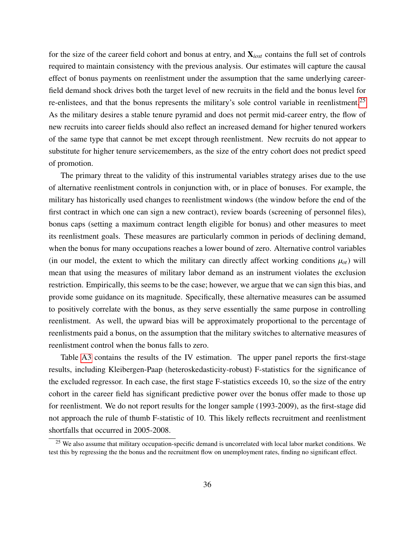for the size of the career field cohort and bonus at entry, and X*iost* contains the full set of controls required to maintain consistency with the previous analysis. Our estimates will capture the causal effect of bonus payments on reenlistment under the assumption that the same underlying careerfield demand shock drives both the target level of new recruits in the field and the bonus level for re-enlistees, and that the bonus represents the military's sole control variable in reenlistment.<sup>[25](#page-38-0)</sup> As the military desires a stable tenure pyramid and does not permit mid-career entry, the flow of new recruits into career fields should also reflect an increased demand for higher tenured workers of the same type that cannot be met except through reenlistment. New recruits do not appear to substitute for higher tenure servicemembers, as the size of the entry cohort does not predict speed of promotion.

The primary threat to the validity of this instrumental variables strategy arises due to the use of alternative reenlistment controls in conjunction with, or in place of bonuses. For example, the military has historically used changes to reenlistment windows (the window before the end of the first contract in which one can sign a new contract), review boards (screening of personnel files), bonus caps (setting a maximum contract length eligible for bonus) and other measures to meet its reenlistment goals. These measures are particularly common in periods of declining demand, when the bonus for many occupations reaches a lower bound of zero. Alternative control variables (in our model, the extent to which the military can directly affect working conditions  $\mu_{ot}$ ) will mean that using the measures of military labor demand as an instrument violates the exclusion restriction. Empirically, this seems to be the case; however, we argue that we can sign this bias, and provide some guidance on its magnitude. Specifically, these alternative measures can be assumed to positively correlate with the bonus, as they serve essentially the same purpose in controlling reenlistment. As well, the upward bias will be approximately proportional to the percentage of reenlistments paid a bonus, on the assumption that the military switches to alternative measures of reenlistment control when the bonus falls to zero.

Table [A3](#page-30-0) contains the results of the IV estimation. The upper panel reports the first-stage results, including Kleibergen-Paap (heteroskedasticity-robust) F-statistics for the significance of the excluded regressor. In each case, the first stage F-statistics exceeds 10, so the size of the entry cohort in the career field has significant predictive power over the bonus offer made to those up for reenlistment. We do not report results for the longer sample (1993-2009), as the first-stage did not approach the rule of thumb F-statistic of 10. This likely reflects recruitment and reenlistment shortfalls that occurred in 2005-2008.

<span id="page-38-0"></span><sup>&</sup>lt;sup>25</sup> We also assume that military occupation-specific demand is uncorrelated with local labor market conditions. We test this by regressing the the bonus and the recruitment flow on unemployment rates, finding no significant effect.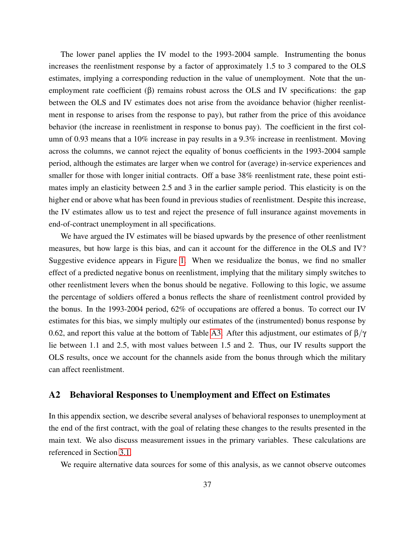The lower panel applies the IV model to the 1993-2004 sample. Instrumenting the bonus increases the reenlistment response by a factor of approximately 1.5 to 3 compared to the OLS estimates, implying a corresponding reduction in the value of unemployment. Note that the unemployment rate coefficient  $(\beta)$  remains robust across the OLS and IV specifications: the gap between the OLS and IV estimates does not arise from the avoidance behavior (higher reenlistment in response to arises from the response to pay), but rather from the price of this avoidance behavior (the increase in reenlistment in response to bonus pay). The coefficient in the first column of 0.93 means that a 10% increase in pay results in a 9.3% increase in reenlistment. Moving across the columns, we cannot reject the equality of bonus coefficients in the 1993-2004 sample period, although the estimates are larger when we control for (average) in-service experiences and smaller for those with longer initial contracts. Off a base 38% reenlistment rate, these point estimates imply an elasticity between 2.5 and 3 in the earlier sample period. This elasticity is on the higher end or above what has been found in previous studies of reenlistment. Despite this increase, the IV estimates allow us to test and reject the presence of full insurance against movements in end-of-contract unemployment in all specifications.

We have argued the IV estimates will be biased upwards by the presence of other reenlistment measures, but how large is this bias, and can it account for the difference in the OLS and IV? Suggestive evidence appears in Figure [1.](#page-34-0) When we residualize the bonus, we find no smaller effect of a predicted negative bonus on reenlistment, implying that the military simply switches to other reenlistment levers when the bonus should be negative. Following to this logic, we assume the percentage of soldiers offered a bonus reflects the share of reenlistment control provided by the bonus. In the 1993-2004 period, 62% of occupations are offered a bonus. To correct our IV estimates for this bias, we simply multiply our estimates of the (instrumented) bonus response by 0.62, and report this value at the bottom of Table [A3.](#page-30-0) After this adjustment, our estimates of  $\beta/\gamma$ lie between 1.1 and 2.5, with most values between 1.5 and 2. Thus, our IV results support the OLS results, once we account for the channels aside from the bonus through which the military can affect reenlistment.

## A2 Behavioral Responses to Unemployment and Effect on Estimates

In this appendix section, we describe several analyses of behavioral responses to unemployment at the end of the first contract, with the goal of relating these changes to the results presented in the main text. We also discuss measurement issues in the primary variables. These calculations are referenced in Section [3.1.](#page-17-0)

We require alternative data sources for some of this analysis, as we cannot observe outcomes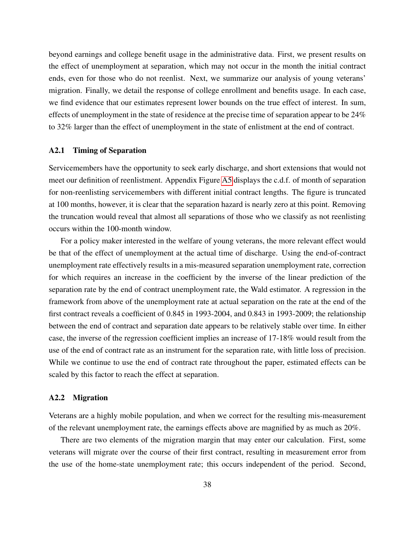beyond earnings and college benefit usage in the administrative data. First, we present results on the effect of unemployment at separation, which may not occur in the month the initial contract ends, even for those who do not reenlist. Next, we summarize our analysis of young veterans' migration. Finally, we detail the response of college enrollment and benefits usage. In each case, we find evidence that our estimates represent lower bounds on the true effect of interest. In sum, effects of unemployment in the state of residence at the precise time of separation appear to be 24% to 32% larger than the effect of unemployment in the state of enlistment at the end of contract.

### A2.1 Timing of Separation

Servicemembers have the opportunity to seek early discharge, and short extensions that would not meet our definition of reenlistment. Appendix Figure [A5](#page-52-0) displays the c.d.f. of month of separation for non-reenlisting servicemembers with different initial contract lengths. The figure is truncated at 100 months, however, it is clear that the separation hazard is nearly zero at this point. Removing the truncation would reveal that almost all separations of those who we classify as not reenlisting occurs within the 100-month window.

For a policy maker interested in the welfare of young veterans, the more relevant effect would be that of the effect of unemployment at the actual time of discharge. Using the end-of-contract unemployment rate effectively results in a mis-measured separation unemployment rate, correction for which requires an increase in the coefficient by the inverse of the linear prediction of the separation rate by the end of contract unemployment rate, the Wald estimator. A regression in the framework from above of the unemployment rate at actual separation on the rate at the end of the first contract reveals a coefficient of 0.845 in 1993-2004, and 0.843 in 1993-2009; the relationship between the end of contract and separation date appears to be relatively stable over time. In either case, the inverse of the regression coefficient implies an increase of 17-18% would result from the use of the end of contract rate as an instrument for the separation rate, with little loss of precision. While we continue to use the end of contract rate throughout the paper, estimated effects can be scaled by this factor to reach the effect at separation.

### A2.2 Migration

Veterans are a highly mobile population, and when we correct for the resulting mis-measurement of the relevant unemployment rate, the earnings effects above are magnified by as much as 20%.

There are two elements of the migration margin that may enter our calculation. First, some veterans will migrate over the course of their first contract, resulting in measurement error from the use of the home-state unemployment rate; this occurs independent of the period. Second,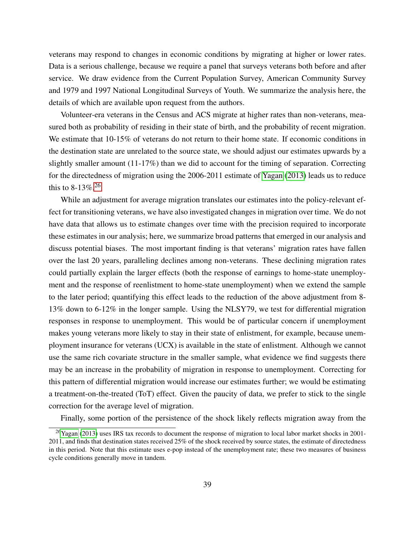veterans may respond to changes in economic conditions by migrating at higher or lower rates. Data is a serious challenge, because we require a panel that surveys veterans both before and after service. We draw evidence from the Current Population Survey, American Community Survey and 1979 and 1997 National Longitudinal Surveys of Youth. We summarize the analysis here, the details of which are available upon request from the authors.

Volunteer-era veterans in the Census and ACS migrate at higher rates than non-veterans, measured both as probability of residing in their state of birth, and the probability of recent migration. We estimate that 10-15% of veterans do not return to their home state. If economic conditions in the destination state are unrelated to the source state, we should adjust our estimates upwards by a slightly smaller amount (11-17%) than we did to account for the timing of separation. Correcting for the directedness of migration using the 2006-2011 estimate of [Yagan](#page-28-1) [\(2013\)](#page-28-1) leads us to reduce this to 8-13\%.<sup>[26](#page-41-0)</sup>

While an adjustment for average migration translates our estimates into the policy-relevant effect for transitioning veterans, we have also investigated changes in migration over time. We do not have data that allows us to estimate changes over time with the precision required to incorporate these estimates in our analysis; here, we summarize broad patterns that emerged in our analysis and discuss potential biases. The most important finding is that veterans' migration rates have fallen over the last 20 years, paralleling declines among non-veterans. These declining migration rates could partially explain the larger effects (both the response of earnings to home-state unemployment and the response of reenlistment to home-state unemployment) when we extend the sample to the later period; quantifying this effect leads to the reduction of the above adjustment from 8- 13% down to 6-12% in the longer sample. Using the NLSY79, we test for differential migration responses in response to unemployment. This would be of particular concern if unemployment makes young veterans more likely to stay in their state of enlistment, for example, because unemployment insurance for veterans (UCX) is available in the state of enlistment. Although we cannot use the same rich covariate structure in the smaller sample, what evidence we find suggests there may be an increase in the probability of migration in response to unemployment. Correcting for this pattern of differential migration would increase our estimates further; we would be estimating a treatment-on-the-treated (ToT) effect. Given the paucity of data, we prefer to stick to the single correction for the average level of migration.

<span id="page-41-0"></span>Finally, some portion of the persistence of the shock likely reflects migration away from the

<sup>&</sup>lt;sup>26</sup>[Yagan](#page-28-1) [\(2013\)](#page-28-1) uses IRS tax records to document the response of migration to local labor market shocks in 2001-2011, and finds that destination states received 25% of the shock received by source states, the estimate of directedness in this period. Note that this estimate uses e-pop instead of the unemployment rate; these two measures of business cycle conditions generally move in tandem.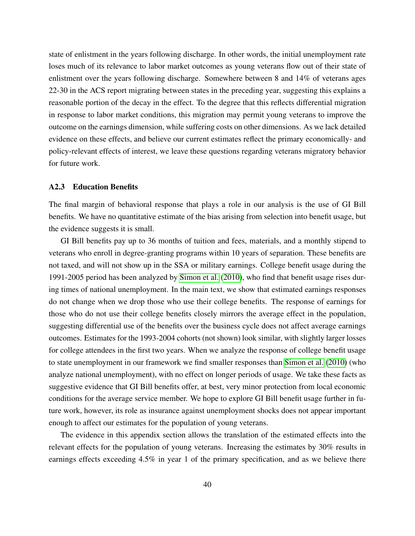state of enlistment in the years following discharge. In other words, the initial unemployment rate loses much of its relevance to labor market outcomes as young veterans flow out of their state of enlistment over the years following discharge. Somewhere between 8 and 14% of veterans ages 22-30 in the ACS report migrating between states in the preceding year, suggesting this explains a reasonable portion of the decay in the effect. To the degree that this reflects differential migration in response to labor market conditions, this migration may permit young veterans to improve the outcome on the earnings dimension, while suffering costs on other dimensions. As we lack detailed evidence on these effects, and believe our current estimates reflect the primary economically- and policy-relevant effects of interest, we leave these questions regarding veterans migratory behavior for future work.

#### A2.3 Education Benefits

The final margin of behavioral response that plays a role in our analysis is the use of GI Bill benefits. We have no quantitative estimate of the bias arising from selection into benefit usage, but the evidence suggests it is small.

GI Bill benefits pay up to 36 months of tuition and fees, materials, and a monthly stipend to veterans who enroll in degree-granting programs within 10 years of separation. These benefits are not taxed, and will not show up in the SSA or military earnings. College benefit usage during the 1991-2005 period has been analyzed by [Simon et al.](#page-27-11) [\(2010\)](#page-27-11), who find that benefit usage rises during times of national unemployment. In the main text, we show that estimated earnings responses do not change when we drop those who use their college benefits. The response of earnings for those who do not use their college benefits closely mirrors the average effect in the population, suggesting differential use of the benefits over the business cycle does not affect average earnings outcomes. Estimates for the 1993-2004 cohorts (not shown) look similar, with slightly larger losses for college attendees in the first two years. When we analyze the response of college benefit usage to state unemployment in our framework we find smaller responses than [Simon et al.](#page-27-11) [\(2010\)](#page-27-11) (who analyze national unemployment), with no effect on longer periods of usage. We take these facts as suggestive evidence that GI Bill benefits offer, at best, very minor protection from local economic conditions for the average service member. We hope to explore GI Bill benefit usage further in future work, however, its role as insurance against unemployment shocks does not appear important enough to affect our estimates for the population of young veterans.

The evidence in this appendix section allows the translation of the estimated effects into the relevant effects for the population of young veterans. Increasing the estimates by 30% results in earnings effects exceeding 4.5% in year 1 of the primary specification, and as we believe there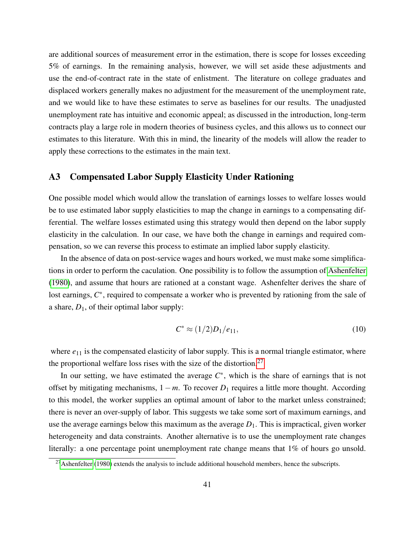are additional sources of measurement error in the estimation, there is scope for losses exceeding 5% of earnings. In the remaining analysis, however, we will set aside these adjustments and use the end-of-contract rate in the state of enlistment. The literature on college graduates and displaced workers generally makes no adjustment for the measurement of the unemployment rate, and we would like to have these estimates to serve as baselines for our results. The unadjusted unemployment rate has intuitive and economic appeal; as discussed in the introduction, long-term contracts play a large role in modern theories of business cycles, and this allows us to connect our estimates to this literature. With this in mind, the linearity of the models will allow the reader to apply these corrections to the estimates in the main text.

## A3 Compensated Labor Supply Elasticity Under Rationing

One possible model which would allow the translation of earnings losses to welfare losses would be to use estimated labor supply elasticities to map the change in earnings to a compensating differential. The welfare losses estimated using this strategy would then depend on the labor supply elasticity in the calculation. In our case, we have both the change in earnings and required compensation, so we can reverse this process to estimate an implied labor supply elasticity.

In the absence of data on post-service wages and hours worked, we must make some simplifications in order to perform the caculation. One possibility is to follow the assumption of [Ashenfelter](#page-24-4) [\(1980\)](#page-24-4), and assume that hours are rationed at a constant wage. Ashenfelter derives the share of lost earnings,  $C^*$ , required to compensate a worker who is prevented by rationing from the sale of a share,  $D_1$ , of their optimal labor supply:

$$
C^* \approx (1/2)D_1/e_{11}, \tag{10}
$$

where  $e_{11}$  is the compensated elasticity of labor supply. This is a normal triangle estimator, where the proportional welfare loss rises with the size of the distortion.<sup>[27](#page-43-0)</sup>

In our setting, we have estimated the average  $C^*$ , which is the share of earnings that is not offset by mitigating mechanisms, 1−*m*. To recover *D*<sup>1</sup> requires a little more thought. According to this model, the worker supplies an optimal amount of labor to the market unless constrained; there is never an over-supply of labor. This suggests we take some sort of maximum earnings, and use the average earnings below this maximum as the average  $D_1$ . This is impractical, given worker heterogeneity and data constraints. Another alternative is to use the unemployment rate changes literally: a one percentage point unemployment rate change means that 1% of hours go unsold.

<span id="page-43-0"></span> $^{27}$ [Ashenfelter](#page-24-4) [\(1980\)](#page-24-4) extends the analysis to include additional household members, hence the subscripts.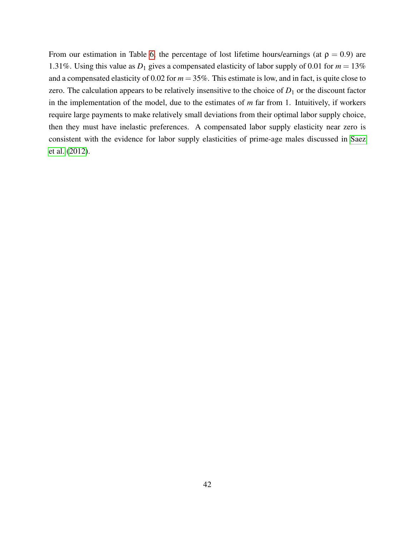From our estimation in Table [6,](#page-33-0) the percentage of lost lifetime hours/earnings (at  $\rho = 0.9$ ) are 1.31%. Using this value as  $D_1$  gives a compensated elasticity of labor supply of 0.01 for  $m = 13\%$ and a compensated elasticity of 0.02 for  $m = 35\%$ . This estimate is low, and in fact, is quite close to zero. The calculation appears to be relatively insensitive to the choice of  $D_1$  or the discount factor in the implementation of the model, due to the estimates of *m* far from 1. Intuitively, if workers require large payments to make relatively small deviations from their optimal labor supply choice, then they must have inelastic preferences. A compensated labor supply elasticity near zero is consistent with the evidence for labor supply elasticities of prime-age males discussed in [Saez](#page-27-12) [et al.](#page-27-12) [\(2012\)](#page-27-12).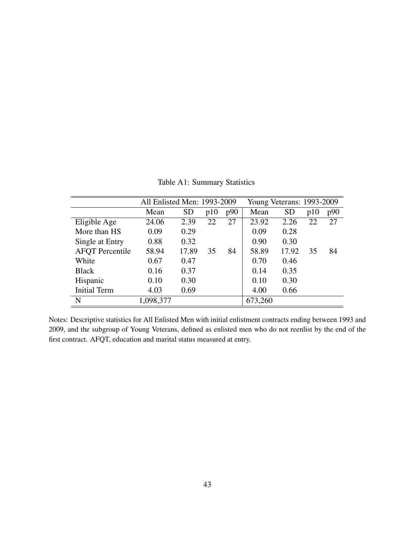|                        | All Enlisted Men: 1993-2009 |           |     | Young Veterans: 1993-2009 |         |           |     |     |
|------------------------|-----------------------------|-----------|-----|---------------------------|---------|-----------|-----|-----|
|                        | Mean                        | <b>SD</b> | p10 | p90                       | Mean    | <b>SD</b> | p10 | p90 |
| Eligible Age           | 24.06                       | 2.39      | 22  | 27                        | 23.92   | 2.26      | 22  | 27  |
| More than HS           | 0.09                        | 0.29      |     |                           | 0.09    | 0.28      |     |     |
| Single at Entry        | 0.88                        | 0.32      |     |                           | 0.90    | 0.30      |     |     |
| <b>AFQT</b> Percentile | 58.94                       | 17.89     | 35  | 84                        | 58.89   | 17.92     | 35  | 84  |
| White                  | 0.67                        | 0.47      |     |                           | 0.70    | 0.46      |     |     |
| <b>Black</b>           | 0.16                        | 0.37      |     |                           | 0.14    | 0.35      |     |     |
| Hispanic               | 0.10                        | 0.30      |     |                           | 0.10    | 0.30      |     |     |
| <b>Initial Term</b>    | 4.03                        | 0.69      |     |                           | 4.00    | 0.66      |     |     |
| N                      | 1,098,377                   |           |     |                           | 673,260 |           |     |     |

Table A1: Summary Statistics

Notes: Descriptive statistics for All Enlisted Men with initial enlistment contracts ending between 1993 and 2009, and the subgroup of Young Veterans, defined as enlisted men who do not reenlist by the end of the first contract. AFQT, education and marital status measured at entry.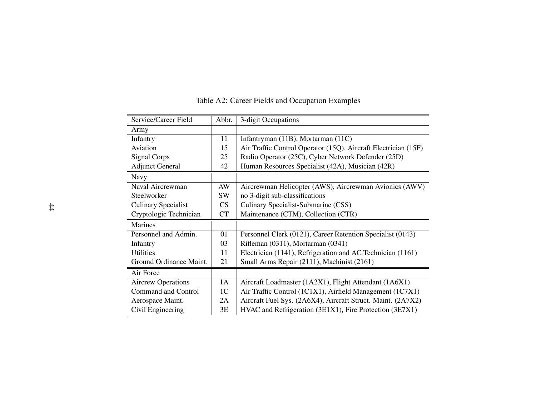| Service/Career Field       | Abbr.          | 3-digit Occupations                                            |
|----------------------------|----------------|----------------------------------------------------------------|
| Army                       |                |                                                                |
| Infantry                   | 11             | Infantryman (11B), Mortarman (11C)                             |
| Aviation                   | 15             | Air Traffic Control Operator (15Q), Aircraft Electrician (15F) |
| Signal Corps               | 25             | Radio Operator (25C), Cyber Network Defender (25D)             |
| <b>Adjunct General</b>     | 42             | Human Resources Specialist (42A), Musician (42R)               |
| <b>Navy</b>                |                |                                                                |
| Naval Aircrewman           | AW             | Aircrewman Helicopter (AWS), Aircrewman Avionics (AWV)         |
| Steelworker                | <b>SW</b>      | no 3-digit sub-classifications                                 |
| <b>Culinary Specialist</b> | CS             | Culinary Specialist-Submarine (CSS)                            |
| Cryptologic Technician     | <b>CT</b>      | Maintenance (CTM), Collection (CTR)                            |
| <b>Marines</b>             |                |                                                                |
| Personnel and Admin.       | 01             | Personnel Clerk (0121), Career Retention Specialist (0143)     |
| Infantry                   | 03             | Rifleman (0311), Mortarman (0341)                              |
| Utilities                  | 11             | Electrician (1141), Refrigeration and AC Technician (1161)     |
| Ground Ordinance Maint.    | 21             | Small Arms Repair (2111), Machinist (2161)                     |
| Air Force                  |                |                                                                |
| <b>Aircrew Operations</b>  | 1A             | Aircraft Loadmaster (1A2X1), Flight Attendant (1A6X1)          |
| <b>Command and Control</b> | 1 <sup>C</sup> | Air Traffic Control (1C1X1), Airfield Management (1C7X1)       |
| Aerospace Maint.           | 2A             | Aircraft Fuel Sys. (2A6X4), Aircraft Struct. Maint. (2A7X2)    |
| Civil Engineering          | 3E             | HVAC and Refrigeration (3E1X1), Fire Protection (3E7X1)        |

## Table A2: Career Fields and Occupation Examples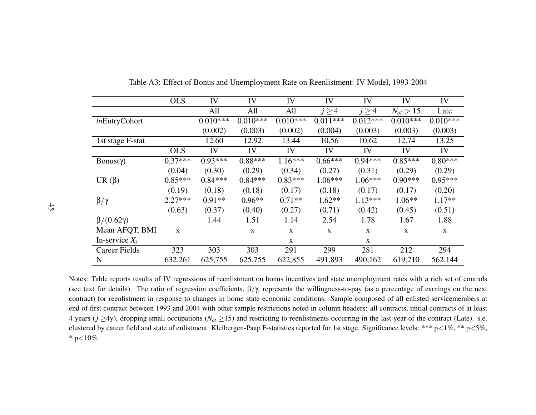|                       | <b>OLS</b>  | IV         | IV          | IV         | IV          | IV          | IV            | IV         |
|-----------------------|-------------|------------|-------------|------------|-------------|-------------|---------------|------------|
|                       |             | All        | All         | All        | $j \geq 4$  | $j \geq 4$  | $N_{ot} > 15$ | Late       |
| <i>In</i> EntryCohort |             | $0.010***$ | $0.010***$  | $0.010***$ | $0.011***$  | $0.012***$  | $0.010***$    | $0.010***$ |
|                       |             | (0.002)    | (0.003)     | (0.002)    | (0.004)     | (0.003)     | (0.003)       | (0.003)    |
| 1st stage F-stat      |             | 12.60      | 12.92       | 13.44      | 10.56       | 10.62       | 12.74         | 13.25      |
|                       | <b>OLS</b>  | IV         | IV          | IV         | IV          | IV          | IV            | IV         |
| Bonus(γ)              | $0.37***$   | $0.93***$  | $0.88***$   | $1.16***$  | $0.66***$   | $0.94***$   | $0.85***$     | $0.80***$  |
|                       | (0.04)      | (0.30)     | (0.29)      | (0.34)     | (0.27)      | (0.31)      | (0.29)        | (0.29)     |
| UR $(\beta)$          | $0.85***$   | $0.84***$  | $0.84***$   | $0.83***$  | $1.06***$   | $1.06***$   | $0.90***$     | $0.95***$  |
|                       | (0.19)      | (0.18)     | (0.18)      | (0.17)     | (0.18)      | (0.17)      | (0.17)        | (0.20)     |
| $\beta/\gamma$        | $2.27***$   | $0.91**$   | $0.96**$    | $0.71**$   | $1.62**$    | $1.13***$   | $1.06**$      | $1.17**$   |
|                       | (0.63)      | (0.37)     | (0.40)      | (0.27)     | (0.71)      | (0.42)      | (0.45)        | (0.51)     |
| $\beta/(0.62\gamma)$  |             | 1.44       | 1.51        | 1.14       | 2.54        | 1.78        | 1.67          | 1.88       |
| Mean AFQT, BMI        | $\mathbf X$ |            | $\mathbf X$ | X          | $\mathbf X$ | $\mathbf X$ | X             | X          |
| In-service $X_i$      |             |            |             | X          |             | X           |               |            |
| <b>Career Fields</b>  | 323         | 303        | 303         | 291        | 299         | 281         | 212           | 294        |
| N                     | 632,261     | 625,755    | 625,755     | 622,855    | 491,893     | 490,162     | 619,210       | 562,144    |

Table A3: Effect of Bonus and Unemployment Rate on Reenlistment: IV Model, 1993-2004

Notes: Table reports results of IV regressions of reenlistment on bonus incentives and state unemployment rates with <sup>a</sup> rich set of controls(see text for details). The ratio of regression coefficients,  $\beta/\gamma$ , represents the willingness-to-pay (as a percentage of earnings on the next contract) for reenlistment in response to changes in home state economic conditions. Sample composed of all enlisted servicemembers atend of first contract between 1993 and 2004 with other sample restrictions noted in column headers: all contracts, initial contracts of at least4 years (*j* ≥4y), dropping small occupations (*Not*≥15) and restricting to reenlistments occurring in the last year of the contract (Late). s.e.clustered by career field and state of enlistment. Kleibergen-Paap F-statistics reported for 1st stage. Significance levels: \*\*\* p<1%, \*\* p<5%, \* p ${<}10\%$ .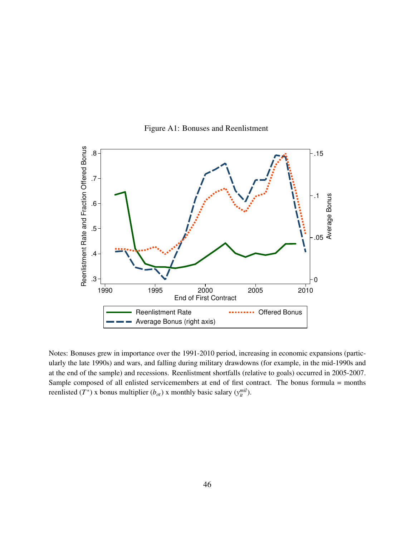

Figure A1: Bonuses and Reenlistment

Notes: Bonuses grew in importance over the 1991-2010 period, increasing in economic expansions (particularly the late 1990s) and wars, and falling during military drawdowns (for example, in the mid-1990s and at the end of the sample) and recessions. Reenlistment shortfalls (relative to goals) occurred in 2005-2007. Sample composed of all enlisted servicemembers at end of first contract. The bonus formula = months reenlisted (*T*<sup>\*</sup>) x bonus multiplier (*b*<sub>*ot*</sub>) x monthly basic salary ( $y_{it}^{mil}$ ).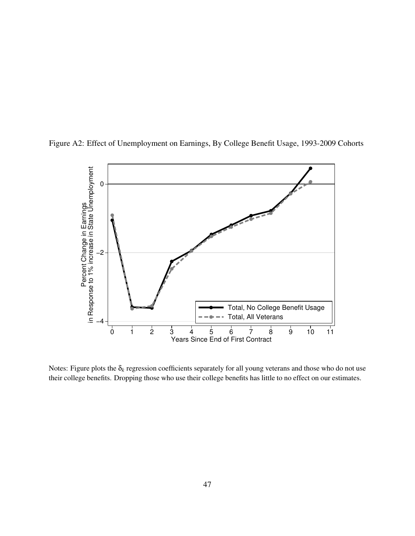

Figure A2: Effect of Unemployment on Earnings, By College Benefit Usage, 1993-2009 Cohorts

Notes: Figure plots the  $\delta_k$  regression coefficients separately for all young veterans and those who do not use their college benefits. Dropping those who use their college benefits has little to no effect on our estimates.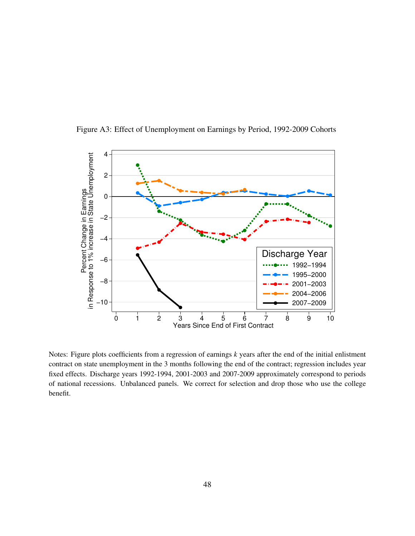

Figure A3: Effect of Unemployment on Earnings by Period, 1992-2009 Cohorts

Notes: Figure plots coefficients from a regression of earnings *k* years after the end of the initial enlistment contract on state unemployment in the 3 months following the end of the contract; regression includes year fixed effects. Discharge years 1992-1994, 2001-2003 and 2007-2009 approximately correspond to periods of national recessions. Unbalanced panels. We correct for selection and drop those who use the college benefit.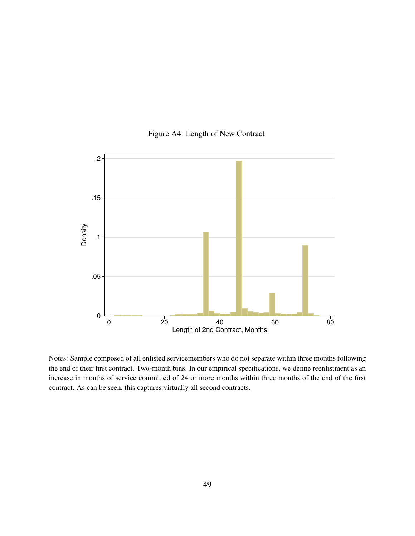

## Figure A4: Length of New Contract

Notes: Sample composed of all enlisted servicemembers who do not separate within three months following the end of their first contract. Two-month bins. In our empirical specifications, we define reenlistment as an increase in months of service committed of 24 or more months within three months of the end of the first contract. As can be seen, this captures virtually all second contracts.